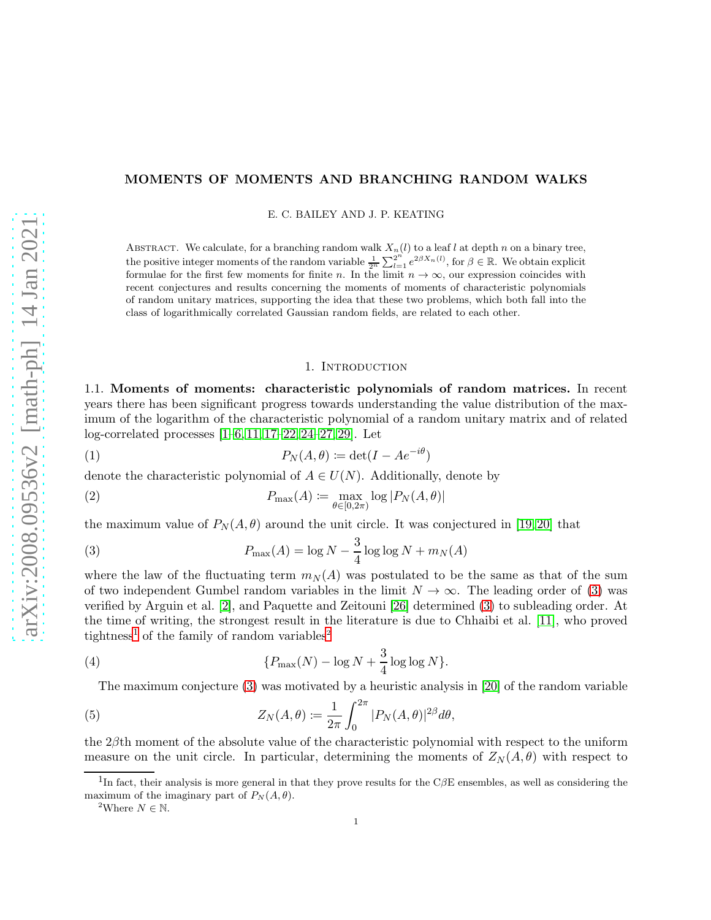# arXiv:2008.09536v2 [math-ph] 14 Jan 2021 [arXiv:2008.09536v2 \[math-ph\] 14 Jan 2021](http://arxiv.org/abs/2008.09536v2)

# MOMENTS OF MOMENTS AND BRANCHING RANDOM WALKS

E. C. BAILEY AND J. P. KEATING

ABSTRACT. We calculate, for a branching random walk  $X_n(l)$  to a leaf l at depth n on a binary tree, the positive integer moments of the random variable  $\frac{1}{2^n} \sum_{l=1}^{2^n} e^{2\beta X_n(l)}$ , for  $\beta \in \mathbb{R}$ . We obtain explicit formulae for the first few moments for finite n. In the limit  $n \to \infty$ , our expression coincides with recent conjectures and results concerning the moments of moments of characteristic polynomials of random unitary matrices, supporting the idea that these two problems, which both fall into the class of logarithmically correlated Gaussian random fields, are related to each other.

### 1. INTRODUCTION

<span id="page-0-3"></span>1.1. Moments of moments: characteristic polynomials of random matrices. In recent years there has been significant progress towards understanding the value distribution of the maximum of the logarithm of the characteristic polynomial of a random unitary matrix and of related log-correlated processes [\[1](#page-22-0)[–6,](#page-23-0) [11,](#page-23-1) [17–](#page-24-0)[22,](#page-24-1) [24–](#page-24-2)[27,](#page-24-3) [29\]](#page-25-0). Let

(1) 
$$
P_N(A,\theta) \coloneqq \det(I - Ae^{-i\theta})
$$

denote the characteristic polynomial of  $A \in U(N)$ . Additionally, denote by

(2) 
$$
P_{\max}(A) \coloneqq \max_{\theta \in [0,2\pi)} \log |P_N(A,\theta)|
$$

the maximum value of  $P_N(A, \theta)$  around the unit circle. It was conjectured in [\[19,](#page-24-4)20] that

<span id="page-0-0"></span>(3) 
$$
P_{\max}(A) = \log N - \frac{3}{4} \log \log N + m_N(A)
$$

where the law of the fluctuating term  $m_N(A)$  was postulated to be the same as that of the sum of two independent Gumbel random variables in the limit  $N \to \infty$ . The leading order of [\(3\)](#page-0-0) was verified by Arguin et al. [\[2\]](#page-22-1), and Paquette and Zeitouni [\[26\]](#page-24-6) determined [\(3\)](#page-0-0) to subleading order. At the time of writing, the strongest result in the literature is due to Chhaibi et al. [\[11\]](#page-23-1), who proved tightness<sup>[1](#page-0-1)</sup> of the family of random variables<sup>[2](#page-0-2)</sup>

(4) 
$$
\{P_{\max}(N) - \log N + \frac{3}{4}\log \log N\}.
$$

The maximum conjecture [\(3\)](#page-0-0) was motivated by a heuristic analysis in [\[20\]](#page-24-5) of the random variable

(5) 
$$
Z_N(A,\theta) \coloneqq \frac{1}{2\pi} \int_0^{2\pi} |P_N(A,\theta)|^{2\beta} d\theta,
$$

the 2βth moment of the absolute value of the characteristic polynomial with respect to the uniform measure on the unit circle. In particular, determining the moments of  $Z_N(A, \theta)$  with respect to

<sup>&</sup>lt;sup>1</sup>In fact, their analysis is more general in that they prove results for the C $\beta$ E ensembles, as well as considering the maximum of the imaginary part of  $P_N(A, \theta)$ .

<span id="page-0-2"></span><span id="page-0-1"></span><sup>&</sup>lt;sup>2</sup>Where  $N \in \mathbb{N}$ .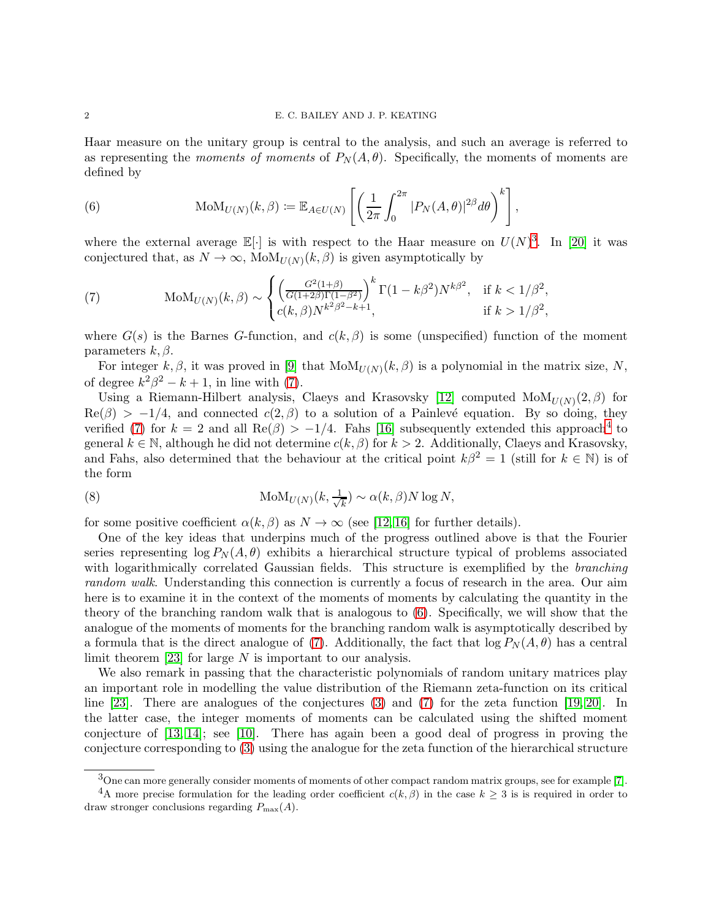Haar measure on the unitary group is central to the analysis, and such an average is referred to as representing the *moments* of *moments* of  $P_N(A, \theta)$ . Specifically, the moments of moments are defined by

<span id="page-1-3"></span>(6) 
$$
\text{MoM}_{U(N)}(k,\beta) := \mathbb{E}_{A \in U(N)} \left[ \left( \frac{1}{2\pi} \int_0^{2\pi} |P_N(A,\theta)|^{2\beta} d\theta \right)^k \right],
$$

where the external average  $\mathbb{E}[\cdot]$  is with respect to the Haar measure on  $U(N)^3$  $U(N)^3$ . In [\[20\]](#page-24-5) it was conjectured that, as  $N \to \infty$ , Mo $M_{U(N)}(k, \beta)$  is given asymptotically by

<span id="page-1-1"></span>(7) 
$$
\text{MoM}_{U(N)}(k, \beta) \sim \begin{cases} \left(\frac{G^2(1+\beta)}{G(1+2\beta)\Gamma(1-\beta^2)}\right)^k \Gamma(1-k\beta^2) N^{k\beta^2}, & \text{if } k < 1/\beta^2, \\ c(k, \beta) N^{k^2\beta^2 - k + 1}, & \text{if } k > 1/\beta^2, \end{cases}
$$

where  $G(s)$  is the Barnes G-function, and  $c(k, \beta)$  is some (unspecified) function of the moment parameters  $k, \beta$ .

For integer k,  $\beta$ , it was proved in [\[9\]](#page-23-2) that  $\text{MoM}_{U(N)}(k, \beta)$  is a polynomial in the matrix size, N, of degree  $k^2\beta^2 - k + 1$ , in line with [\(7\)](#page-1-1).

Using a Riemann-Hilbert analysis, Claeys and Krasovsky [\[12\]](#page-23-3) computed  $\text{MoM}_{U(N)}(2,\beta)$  for  $\text{Re}(\beta) > -1/4$ , and connected  $c(2, \beta)$  to a solution of a Painlevé equation. By so doing, they verified [\(7\)](#page-1-1) for  $k = 2$  and all  $\text{Re}(\beta) > -1/4$  $\text{Re}(\beta) > -1/4$ . Fahs [\[16\]](#page-23-4) subsequently extended this approach<sup>4</sup> to general  $k \in \mathbb{N}$ , although he did not determine  $c(k, \beta)$  for  $k > 2$ . Additionally, Claeys and Krasovsky, and Fahs, also determined that the behaviour at the critical point  $k\beta^2 = 1$  (still for  $k \in \mathbb{N}$ ) is of the form

(8) 
$$
\text{MoM}_{U(N)}(k, \frac{1}{\sqrt{k}}) \sim \alpha(k, \beta) N \log N,
$$

for some positive coefficient  $\alpha(k,\beta)$  as  $N \to \infty$  (see [\[12,](#page-23-3)16] for further details).

One of the key ideas that underpins much of the progress outlined above is that the Fourier series representing  $\log P_N(A, \theta)$  exhibits a hierarchical structure typical of problems associated with logarithmically correlated Gaussian fields. This structure is exemplified by the *branching random walk*. Understanding this connection is currently a focus of research in the area. Our aim here is to examine it in the context of the moments of moments by calculating the quantity in the theory of the branching random walk that is analogous to [\(6\)](#page-1-3). Specifically, we will show that the analogue of the moments of moments for the branching random walk is asymptotically described by a formula that is the direct analogue of [\(7\)](#page-1-1). Additionally, the fact that  $\log P_N(A, \theta)$  has a central limit theorem  $[23]$  for large N is important to our analysis.

We also remark in passing that the characteristic polynomials of random unitary matrices play an important role in modelling the value distribution of the Riemann zeta-function on its critical line [\[23\]](#page-24-7). There are analogues of the conjectures [\(3\)](#page-0-0) and [\(7\)](#page-1-1) for the zeta function [\[19,](#page-24-4) [20\]](#page-24-5). In the latter case, the integer moments of moments can be calculated using the shifted moment conjecture of [\[13,](#page-23-5) [14\]](#page-23-6); see [\[10\]](#page-23-7). There has again been a good deal of progress in proving the conjecture corresponding to [\(3\)](#page-0-0) using the analogue for the zeta function of the hierarchical structure

<span id="page-1-0"></span><sup>3</sup>One can more generally consider moments of moments of other compact random matrix groups, see for example [\[7\]](#page-23-8).

<span id="page-1-2"></span><sup>&</sup>lt;sup>4</sup>A more precise formulation for the leading order coefficient  $c(k, \beta)$  in the case  $k \geq 3$  is is required in order to draw stronger conclusions regarding  $P_{\text{max}}(A)$ .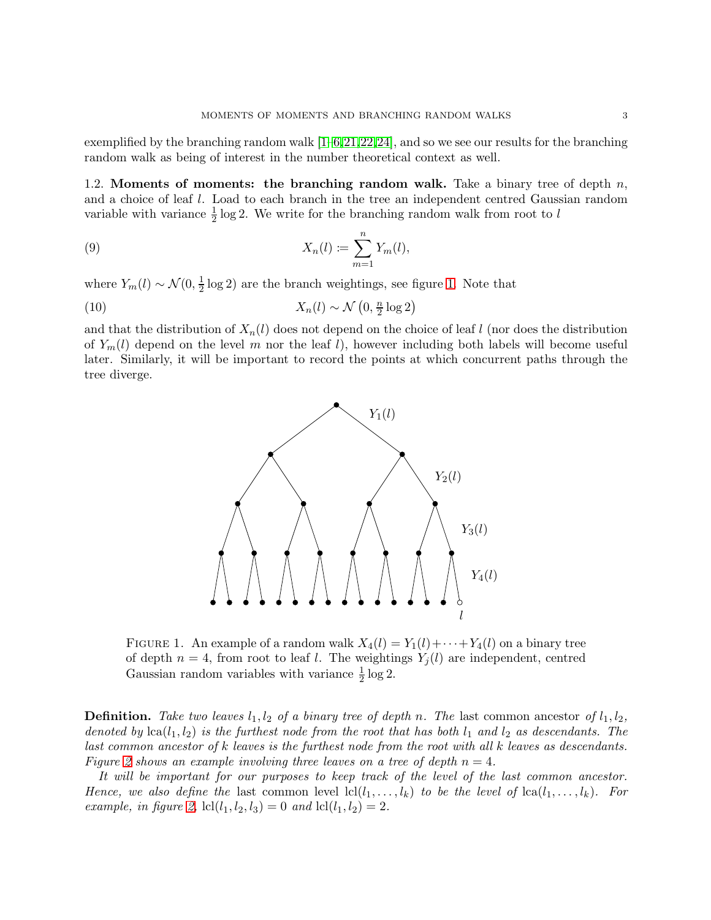exemplified by the branching random walk  $[1-6,21,22,24]$  $[1-6,21,22,24]$  $[1-6,21,22,24]$  $[1-6,21,22,24]$ , and so we see our results for the branching random walk as being of interest in the number theoretical context as well.

1.2. Moments of moments: the branching random walk. Take a binary tree of depth  $n$ , and a choice of leaf l. Load to each branch in the tree an independent centred Gaussian random variable with variance  $\frac{1}{2} \log 2$ . We write for the branching random walk from root to l

(9) 
$$
X_n(l) \coloneqq \sum_{m=1}^n Y_m(l),
$$

where  $Y_m(l) \sim \mathcal{N}(0, \frac{1}{2})$  $\frac{1}{2}$  log 2) are the branch weightings, see figure [1.](#page-2-0) Note that

(10) 
$$
X_n(l) \sim \mathcal{N}\left(0, \frac{n}{2} \log 2\right)
$$

<span id="page-2-0"></span>and that the distribution of  $X_n(l)$  does not depend on the choice of leaf l (nor does the distribution of  $Y_m(l)$  depend on the level m nor the leaf l), however including both labels will become useful later. Similarly, it will be important to record the points at which concurrent paths through the tree diverge.

<span id="page-2-1"></span>

FIGURE 1. An example of a random walk  $X_4(l) = Y_1(l) + \cdots + Y_4(l)$  on a binary tree of depth  $n = 4$ , from root to leaf l. The weightings  $Y_j(l)$  are independent, centred Gaussian random variables with variance  $\frac{1}{2} \log 2$ .

**Definition.** Take two leaves  $l_1, l_2$  of a binary tree of depth n. The last common ancestor of  $l_1, l_2$ , *denoted by*  $lca(l_1, l_2)$  *is the furthest node from the root that has both*  $l_1$  *and*  $l_2$  *as descendants. The last common ancestor of* k *leaves is the furthest node from the root with all* k *leaves as descendants. Figure* [2](#page-3-0) shows an example involving three leaves on a tree of depth  $n = 4$ .

*It will be important for our purposes to keep track of the level of the last common ancestor. Hence, we also define the* last common level  $\text{lcl}(l_1, \ldots, l_k)$  *to be the level of*  $\text{lca}(l_1, \ldots, l_k)$ *. For example, in figure* [2,](#page-3-0)  $\text{lcl}(l_1, l_2, l_3) = 0$  *and*  $\text{lcl}(l_1, l_2) = 2$ *.*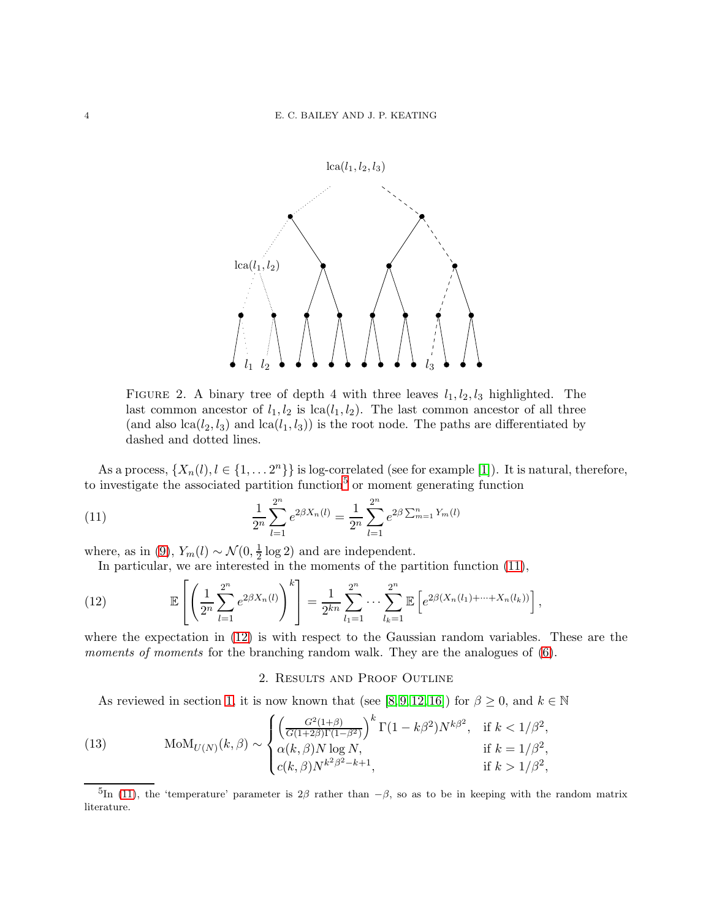<span id="page-3-0"></span>

FIGURE 2. A binary tree of depth 4 with three leaves  $l_1, l_2, l_3$  highlighted. The last common ancestor of  $l_1, l_2$  is lca( $l_1, l_2$ ). The last common ancestor of all three (and also  $lca(l_2, l_3)$  and  $lca(l_1, l_3)$ ) is the root node. The paths are differentiated by dashed and dotted lines.

As a process,  $\{X_n(l), l \in \{1, ..., 2^n\}\}\$ is log-correlated (see for example [\[1\]](#page-22-0)). It is natural, therefore, to investigate the associated partition function<sup>[5](#page-3-1)</sup> or moment generating function

<span id="page-3-2"></span>(11) 
$$
\frac{1}{2^n} \sum_{l=1}^{2^n} e^{2\beta X_n(l)} = \frac{1}{2^n} \sum_{l=1}^{2^n} e^{2\beta \sum_{m=1}^n Y_m(l)}
$$

where, as in [\(9\)](#page-2-1),  $Y_m(l) \sim \mathcal{N}(0, \frac{1}{2})$  $\frac{1}{2}$  log 2) and are independent.

In particular, we are interested in the moments of the partition function [\(11\)](#page-3-2),

<span id="page-3-3"></span>(12) 
$$
\mathbb{E}\left[\left(\frac{1}{2^n}\sum_{l=1}^{2^n}e^{2\beta X_n(l)}\right)^k\right] = \frac{1}{2^{kn}}\sum_{l_1=1}^{2^n}\cdots\sum_{l_k=1}^{2^n}\mathbb{E}\left[e^{2\beta(X_n(l_1)+\cdots+X_n(l_k))}\right],
$$

where the expectation in [\(12\)](#page-3-3) is with respect to the Gaussian random variables. These are the *moments of moments* for the branching random walk. They are the analogues of  $(6)$ .

# 2. Results and Proof Outline

<span id="page-3-4"></span>As reviewed in section [1,](#page-0-3) it is now known that (see [\[8,](#page-23-9) [9,](#page-23-2) [12,](#page-23-3) [16\]](#page-23-4)) for  $\beta \geq 0$ , and  $k \in \mathbb{N}$ 

(13) 
$$
\text{MoM}_{U(N)}(k, \beta) \sim \begin{cases} \left(\frac{G^2(1+\beta)}{G(1+2\beta)\Gamma(1-\beta^2)}\right)^k \Gamma(1-k\beta^2) N^{k\beta^2}, & \text{if } k < 1/\beta^2, \\ \alpha(k, \beta) N \log N, & \text{if } k = 1/\beta^2, \\ c(k, \beta) N^{k^2\beta^2 - k + 1}, & \text{if } k > 1/\beta^2, \end{cases}
$$

<span id="page-3-1"></span><sup>&</sup>lt;sup>5</sup>In [\(11\)](#page-3-2), the 'temperature' parameter is  $2\beta$  rather than  $-\beta$ , so as to be in keeping with the random matrix literature.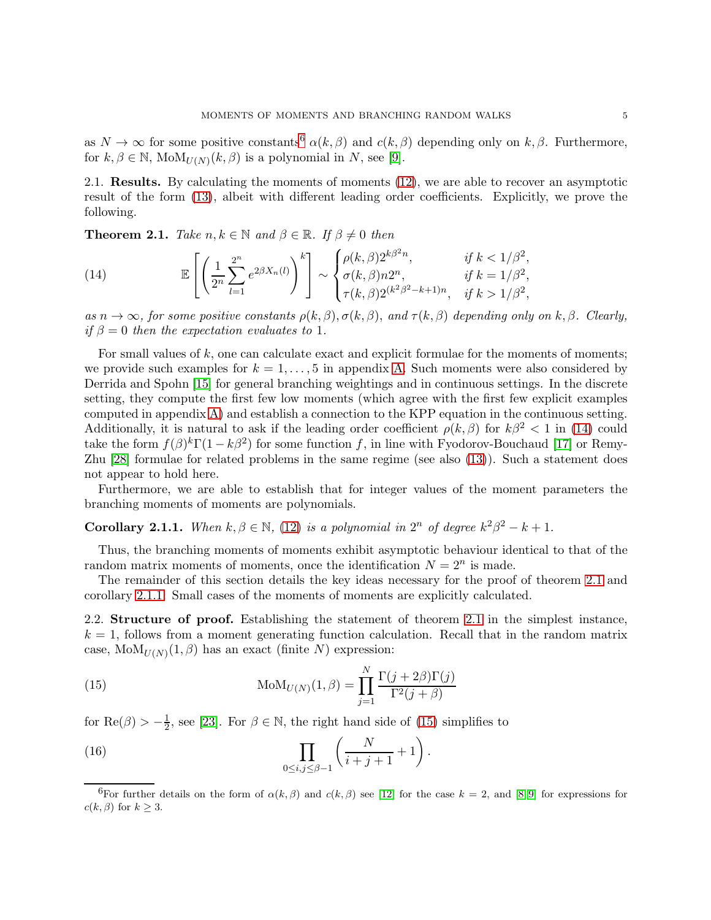as  $N \to \infty$  for some positive constants<sup>[6](#page-4-0)</sup>  $\alpha(k, \beta)$  and  $c(k, \beta)$  depending only on k,  $\beta$ . Furthermore, for  $k, \beta \in \mathbb{N}$ ,  $\text{MoM}_{U(N)}(k, \beta)$  is a polynomial in N, see [\[9\]](#page-23-2).

2.1. Results. By calculating the moments of moments [\(12\)](#page-3-3), we are able to recover an asymptotic result of the form [\(13\)](#page-3-4), albeit with different leading order coefficients. Explicitly, we prove the following.

<span id="page-4-2"></span>**Theorem 2.1.** *Take*  $n, k \in \mathbb{N}$  *and*  $\beta \in \mathbb{R}$ *. If*  $\beta \neq 0$  *then* 

<span id="page-4-1"></span>(14) 
$$
\mathbb{E}\left[\left(\frac{1}{2^n}\sum_{l=1}^{2^n}e^{2\beta X_n(l)}\right)^k\right] \sim \begin{cases} \rho(k,\beta)2^{k\beta^2 n}, & \text{if } k < 1/\beta^2, \\ \sigma(k,\beta)n2^n, & \text{if } k = 1/\beta^2, \\ \tau(k,\beta)2^{(k^2\beta^2 - k + 1)n}, & \text{if } k > 1/\beta^2, \end{cases}
$$

 $as n \to \infty$ , for some positive constants  $\rho(k,\beta), \sigma(k,\beta)$ , and  $\tau(k,\beta)$  depending only on k,  $\beta$ . Clearly, *if*  $\beta = 0$  *then the expectation evaluates to* 1*.* 

For small values of  $k$ , one can calculate exact and explicit formulae for the moments of moments; we provide such examples for  $k = 1, \ldots, 5$  in appendix [A.](#page-18-0) Such moments were also considered by Derrida and Spohn [\[15\]](#page-23-10) for general branching weightings and in continuous settings. In the discrete setting, they compute the first few low moments (which agree with the first few explicit examples computed in appendix [A\)](#page-18-0) and establish a connection to the KPP equation in the continuous setting. Additionally, it is natural to ask if the leading order coefficient  $\rho(k,\beta)$  for  $k\beta^2 < 1$  in [\(14\)](#page-4-1) could take the form  $f(\beta)^k \Gamma(1 - k\beta^2)$  for some function f, in line with Fyodorov-Bouchaud [\[17\]](#page-24-0) or Remy-Zhu [\[28\]](#page-24-9) formulae for related problems in the same regime (see also [\(13\)](#page-3-4)). Such a statement does not appear to hold here.

Furthermore, we are able to establish that for integer values of the moment parameters the branching moments of moments are polynomials.

<span id="page-4-3"></span>**Corollary 2.1.1.** When  $k, \beta \in \mathbb{N}$ , [\(12\)](#page-3-3) *is a polynomial in*  $2^n$  *of degree*  $k^2\beta^2 - k + 1$ *.* 

Thus, the branching moments of moments exhibit asymptotic behaviour identical to that of the random matrix moments of moments, once the identification  $N = 2<sup>n</sup>$  is made.

The remainder of this section details the key ideas necessary for the proof of theorem [2.1](#page-4-2) and corollary [2.1.1.](#page-4-3) Small cases of the moments of moments are explicitly calculated.

<span id="page-4-6"></span>2.2. Structure of proof. Establishing the statement of theorem [2.1](#page-4-2) in the simplest instance,  $k = 1$ , follows from a moment generating function calculation. Recall that in the random matrix case,  $\text{MoM}_{U(N)}(1,\beta)$  has an exact (finite N) expression:

<span id="page-4-4"></span>(15) 
$$
\text{MoM}_{U(N)}(1,\beta) = \prod_{j=1}^{N} \frac{\Gamma(j+2\beta)\Gamma(j)}{\Gamma^2(j+\beta)}
$$

for Re( $\beta$ ) >  $-\frac{1}{2}$  $\frac{1}{2}$ , see [\[23\]](#page-24-7). For  $\beta \in \mathbb{N}$ , the right hand side of [\(15\)](#page-4-4) simplifies to

<span id="page-4-5"></span>(16) 
$$
\prod_{0 \leq i,j \leq \beta-1} \left( \frac{N}{i+j+1} + 1 \right).
$$

<span id="page-4-0"></span><sup>&</sup>lt;sup>6</sup>For further details on the form of  $\alpha(k,\beta)$  and  $c(k,\beta)$  see [\[12\]](#page-23-3) for the case  $k=2$ , and [\[8,](#page-23-9)9] for expressions for  $c(k, \beta)$  for  $k \geq 3$ .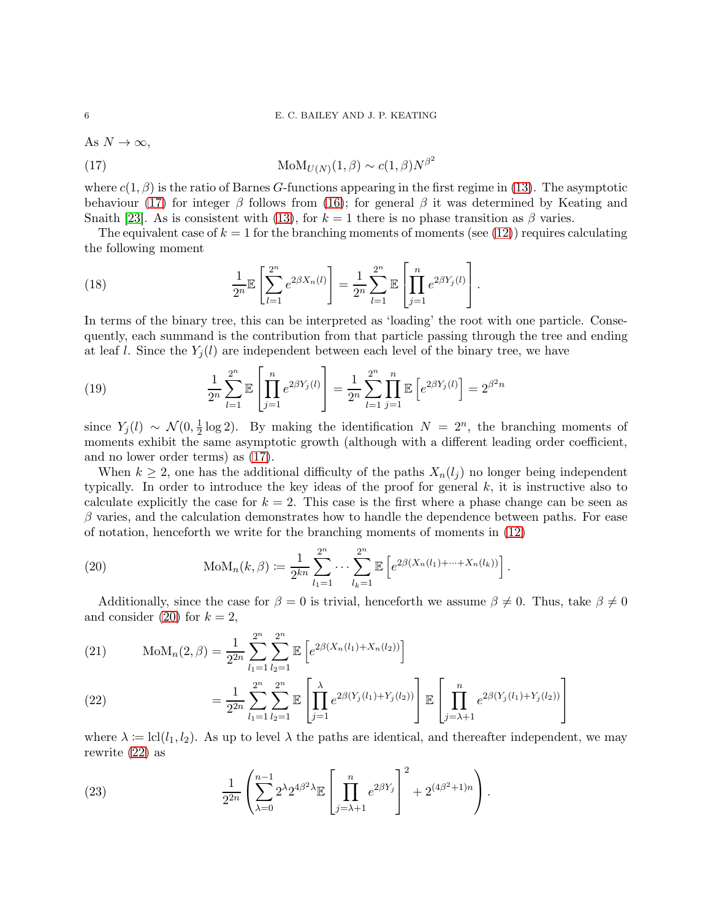### 6 E. C. BAILEY AND J. P. KEATING

As  $N \to \infty$ ,

<span id="page-5-0"></span>(17) 
$$
\text{MoM}_{U(N)}(1,\beta) \sim c(1,\beta)N^{\beta^2}
$$

where  $c(1, \beta)$  is the ratio of Barnes G-functions appearing in the first regime in [\(13\)](#page-3-4). The asymptotic behaviour [\(17\)](#page-5-0) for integer  $\beta$  follows from [\(16\)](#page-4-5); for general  $\beta$  it was determined by Keating and Snaith [\[23\]](#page-24-7). As is consistent with [\(13\)](#page-3-4), for  $k = 1$  there is no phase transition as  $\beta$  varies.

The equivalent case of  $k = 1$  for the branching moments of moments (see [\(12\)](#page-3-3)) requires calculating the following moment

<span id="page-5-4"></span>(18) 
$$
\frac{1}{2^n} \mathbb{E} \left[ \sum_{l=1}^{2^n} e^{2\beta X_n(l)} \right] = \frac{1}{2^n} \sum_{l=1}^{2^n} \mathbb{E} \left[ \prod_{j=1}^n e^{2\beta Y_j(l)} \right].
$$

In terms of the binary tree, this can be interpreted as 'loading' the root with one particle. Consequently, each summand is the contribution from that particle passing through the tree and ending at leaf l. Since the  $Y_i(l)$  are independent between each level of the binary tree, we have

<span id="page-5-5"></span>(19) 
$$
\frac{1}{2^n} \sum_{l=1}^{2^n} \mathbb{E} \left[ \prod_{j=1}^n e^{2\beta Y_j(l)} \right] = \frac{1}{2^n} \sum_{l=1}^{2^n} \prod_{j=1}^n \mathbb{E} \left[ e^{2\beta Y_j(l)} \right] = 2^{\beta^2 n}
$$

since  $Y_j(l) \sim \mathcal{N}(0, \frac{1}{2})$  $\frac{1}{2}$ log 2). By making the identification  $N = 2^n$ , the branching moments of moments exhibit the same asymptotic growth (although with a different leading order coefficient, and no lower order terms) as [\(17\)](#page-5-0).

When  $k \geq 2$ , one has the additional difficulty of the paths  $X_n(l_i)$  no longer being independent typically. In order to introduce the key ideas of the proof for general  $k$ , it is instructive also to calculate explicitly the case for  $k = 2$ . This case is the first where a phase change can be seen as  $\beta$  varies, and the calculation demonstrates how to handle the dependence between paths. For ease of notation, henceforth we write for the branching moments of moments in [\(12\)](#page-3-3)

<span id="page-5-1"></span>(20) 
$$
\text{MoM}_n(k, \beta) := \frac{1}{2^{kn}} \sum_{l_1=1}^{2^n} \cdots \sum_{l_k=1}^{2^n} \mathbb{E} \left[ e^{2\beta (X_n(l_1) + \cdots + X_n(l_k))} \right].
$$

Additionally, since the case for  $\beta = 0$  is trivial, henceforth we assume  $\beta \neq 0$ . Thus, take  $\beta \neq 0$ and consider [\(20\)](#page-5-1) for  $k = 2$ ,

(21) 
$$
\text{MoM}_n(2,\beta) = \frac{1}{2^{2n}} \sum_{l_1=1}^{2^n} \sum_{l_2=1}^{2^n} \mathbb{E}\left[e^{2\beta(X_n(l_1) + X_n(l_2))}\right]
$$

<span id="page-5-2"></span>(22) 
$$
= \frac{1}{2^{2n}} \sum_{l_1=1}^{2^n} \sum_{l_2=1}^{2^n} \mathbb{E} \left[ \prod_{j=1}^{\lambda} e^{2\beta(Y_j(l_1) + Y_j(l_2))} \right] \mathbb{E} \left[ \prod_{j=\lambda+1}^n e^{2\beta(Y_j(l_1) + Y_j(l_2))} \right]
$$

where  $\lambda := \text{lcl}(l_1, l_2)$ . As up to level  $\lambda$  the paths are identical, and thereafter independent, we may rewrite [\(22\)](#page-5-2) as

<span id="page-5-3"></span>(23) 
$$
\frac{1}{2^{2n}} \left( \sum_{\lambda=0}^{n-1} 2^{\lambda} 2^{4\beta^2 \lambda} \mathbb{E} \left[ \prod_{j=\lambda+1}^{n} e^{2\beta Y_j} \right]^2 + 2^{(4\beta^2+1)n} \right).
$$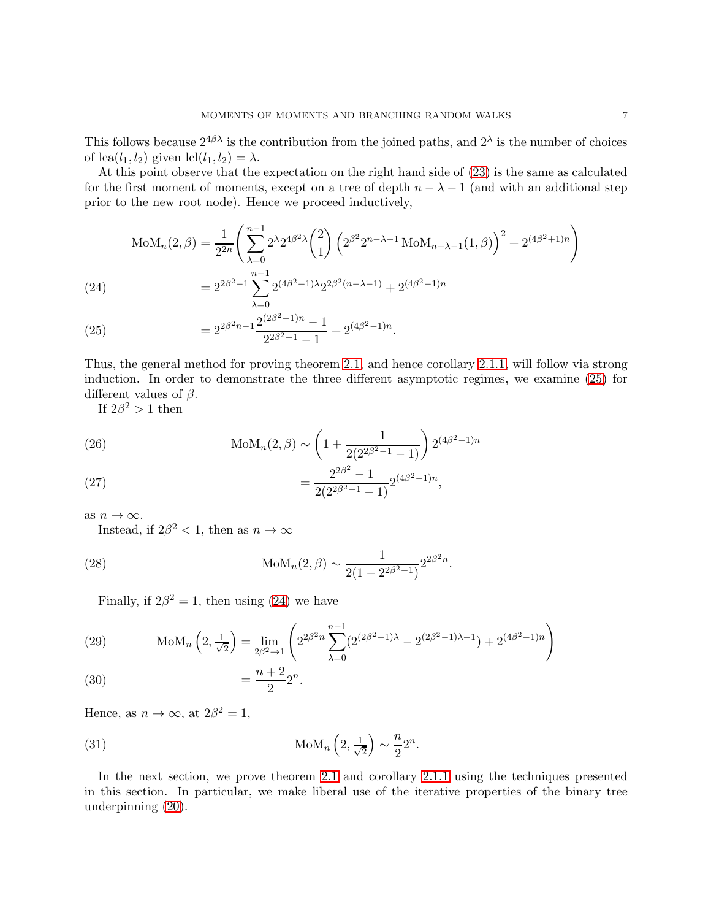This follows because  $2^{4\beta\lambda}$  is the contribution from the joined paths, and  $2^{\lambda}$  is the number of choices of  $lca(l_1, l_2)$  given  $lcl(l_1, l_2) = \lambda$ .

At this point observe that the expectation on the right hand side of [\(23\)](#page-5-3) is the same as calculated for the first moment of moments, except on a tree of depth  $n - \lambda - 1$  (and with an additional step prior to the new root node). Hence we proceed inductively,

$$
\text{MoM}_n(2,\beta) = \frac{1}{2^{2n}} \left( \sum_{\lambda=0}^{n-1} 2^{\lambda} 2^{4\beta^2 \lambda} {2 \choose 1} \left( 2^{\beta^2} 2^{n-\lambda-1} \text{MoM}_{n-\lambda-1}(1,\beta) \right)^2 + 2^{(4\beta^2+1)n} \right)
$$
\n
$$
= 2^{2\beta^2 - 1} \sum_{\lambda=0}^{n-1} 2^{(4\beta^2 - 1)\lambda} 2^{2\beta^2(n-\lambda-1)} + 2^{(4\beta^2 - 1)n}
$$

<span id="page-6-1"></span><span id="page-6-0"></span>(25) 
$$
= 2^{2\beta^2 n - 1} \frac{2^{(2\beta^2 - 1)n} - 1}{2^{2\beta^2 - 1} - 1} + 2^{(4\beta^2 - 1)n}.
$$

Thus, the general method for proving theorem [2.1,](#page-4-2) and hence corollary [2.1.1,](#page-4-3) will follow via strong induction. In order to demonstrate the three different asymptotic regimes, we examine [\(25\)](#page-6-0) for different values of  $\beta$ .

.

If  $2\beta^2 > 1$  then

(26) 
$$
\text{MoM}_n(2,\beta) \sim \left(1 + \frac{1}{2(2^{2\beta^2 - 1} - 1)}\right) 2^{(4\beta^2 - 1)n}
$$

<span id="page-6-2"></span>(27) 
$$
= \frac{2^{2\beta^2} - 1}{2(2^{2\beta^2 - 1} - 1)} 2^{(4\beta^2 - 1)n},
$$

as  $n \to \infty$ .

Instead, if  $2\beta^2 < 1$ , then as  $n \to \infty$ 

(28) 
$$
\text{MoM}_n(2,\beta) \sim \frac{1}{2(1-2^{2\beta^2-1})} 2^{2\beta^2 n}
$$

<span id="page-6-3"></span>Finally, if  $2\beta^2 = 1$ , then using [\(24\)](#page-6-1) we have

(29) 
$$
\text{MoM}_n\left(2,\frac{1}{\sqrt{2}}\right) = \lim_{2\beta^2 \to 1} \left(2^{2\beta^2 n} \sum_{\lambda=0}^{n-1} (2^{(2\beta^2-1)\lambda} - 2^{(2\beta^2-1)\lambda-1}) + 2^{(4\beta^2-1)n}\right)
$$

<span id="page-6-4"></span>
$$
(30) \qquad \qquad = \frac{n+2}{2}2^n.
$$

Hence, as  $n \to \infty$ , at  $2\beta^2 = 1$ ,

(31) 
$$
\text{MoM}_n\left(2,\frac{1}{\sqrt{2}}\right) \sim \frac{n}{2}2^n.
$$

In the next section, we prove theorem [2.1](#page-4-2) and corollary [2.1.1](#page-4-3) using the techniques presented in this section. In particular, we make liberal use of the iterative properties of the binary tree underpinning [\(20\)](#page-5-1).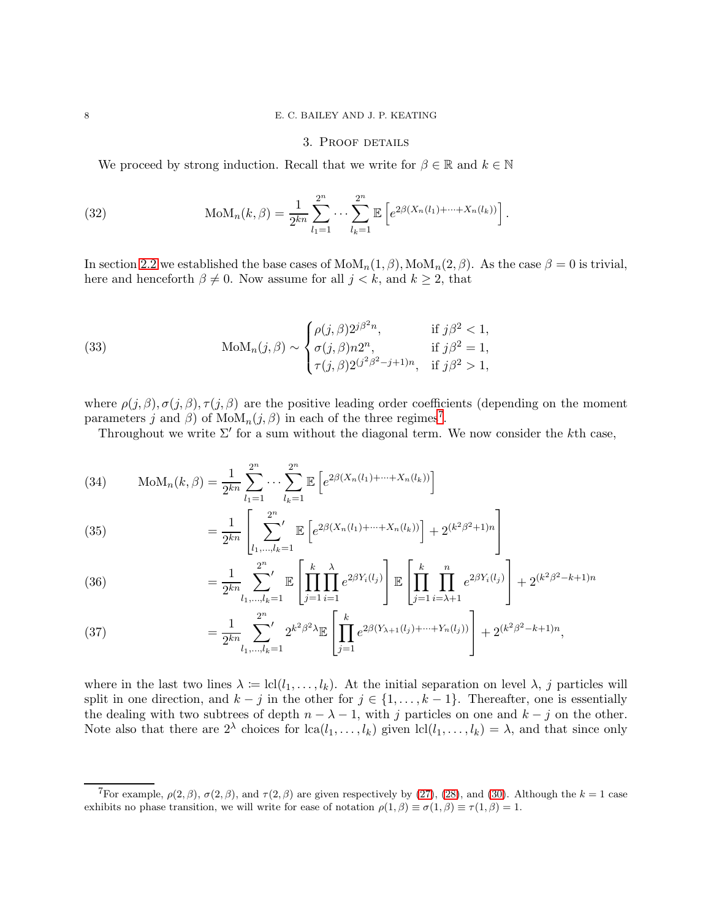### 8 E. C. BAILEY AND J. P. KEATING

# 3. Proof details

We proceed by strong induction. Recall that we write for  $\beta \in \mathbb{R}$  and  $k \in \mathbb{N}$ 

(32) 
$$
\text{MoM}_n(k,\beta) = \frac{1}{2^{kn}} \sum_{l_1=1}^{2^n} \cdots \sum_{l_k=1}^{2^n} \mathbb{E} \left[ e^{2\beta (X_n(l_1) + \cdots + X_n(l_k))} \right].
$$

In section [2.2](#page-4-6) we established the base cases of  $\text{MoM}_n(1,\beta)$ ,  $\text{MoM}_n(2,\beta)$ . As the case  $\beta = 0$  is trivial, here and henceforth  $\beta \neq 0$ . Now assume for all  $j < k$ , and  $k \geq 2$ , that

<span id="page-7-1"></span>(33) 
$$
\text{MoM}_n(j,\beta) \sim \begin{cases} \rho(j,\beta)2^{j\beta^2 n}, & \text{if } j\beta^2 < 1, \\ \sigma(j,\beta)n2^n, & \text{if } j\beta^2 = 1, \\ \tau(j,\beta)2^{(j^2\beta^2 - j + 1)n}, & \text{if } j\beta^2 > 1, \end{cases}
$$

where  $\rho(j,\beta), \sigma(j,\beta), \tau(j,\beta)$  are the positive leading order coefficients (depending on the moment parameters j and  $\beta$ ) of  $\text{MoM}_n(j, \beta)$  in each of the three regimes<sup>[7](#page-7-0)</sup>.

Throughout we write  $\Sigma'$  for a sum without the diagonal term. We now consider the kth case,

(34) 
$$
\text{MoM}_n(k,\beta) = \frac{1}{2^{kn}} \sum_{l_1=1}^{2^n} \cdots \sum_{l_k=1}^{2^n} \mathbb{E}\left[e^{2\beta(X_n(l_1) + \cdots + X_n(l_k))}\right]
$$

(35) 
$$
= \frac{1}{2^{kn}} \left[ \sum_{l_1, \dots, l_k=1}^{2^n} \mathbb{E} \left[ e^{2\beta (X_n(l_1) + \dots + X_n(l_k))} \right] + 2^{(k^2 \beta^2 + 1)n} \right]
$$

(36) 
$$
= \frac{1}{2^{kn}} \sum_{l_1, \dots, l_k=1}^{2^n} \mathbb{E} \left[ \prod_{j=1}^k \prod_{i=1}^{\lambda} e^{2\beta Y_i(l_j)} \right] \mathbb{E} \left[ \prod_{j=1}^k \prod_{i=\lambda+1}^n e^{2\beta Y_i(l_j)} \right] + 2^{(k^2 \beta^2 - k + 1)n}
$$

(37) 
$$
= \frac{1}{2^{kn}} \sum_{l_1,\dots,l_k=1}^{2^n} 2^{k^2 \beta^2 \lambda} \mathbb{E} \left[ \prod_{j=1}^k e^{2\beta (Y_{\lambda+1}(l_j)+\dots+Y_n(l_j))} \right] + 2^{(k^2 \beta^2 - k + 1)n},
$$

where in the last two lines  $\lambda := \text{lc}(l_1, \ldots, l_k)$ . At the initial separation on level  $\lambda$ , j particles will split in one direction, and  $k - j$  in the other for  $j \in \{1, ..., k - 1\}$ . Thereafter, one is essentially the dealing with two subtrees of depth  $n - \lambda - 1$ , with j particles on one and  $k - j$  on the other. Note also that there are  $2^{\lambda}$  choices for  $lca(l_1,\ldots,l_k)$  given  $lcl(l_1,\ldots,l_k)=\lambda$ , and that since only

<span id="page-7-0"></span>For example,  $\rho(2,\beta)$ ,  $\sigma(2,\beta)$ , and  $\tau(2,\beta)$  are given respectively by [\(27\)](#page-6-2), [\(28\)](#page-6-3), and [\(30\)](#page-6-4). Although the  $k=1$  case exhibits no phase transition, we will write for ease of notation  $\rho(1,\beta) \equiv \sigma(1,\beta) \equiv \tau(1,\beta) = 1$ .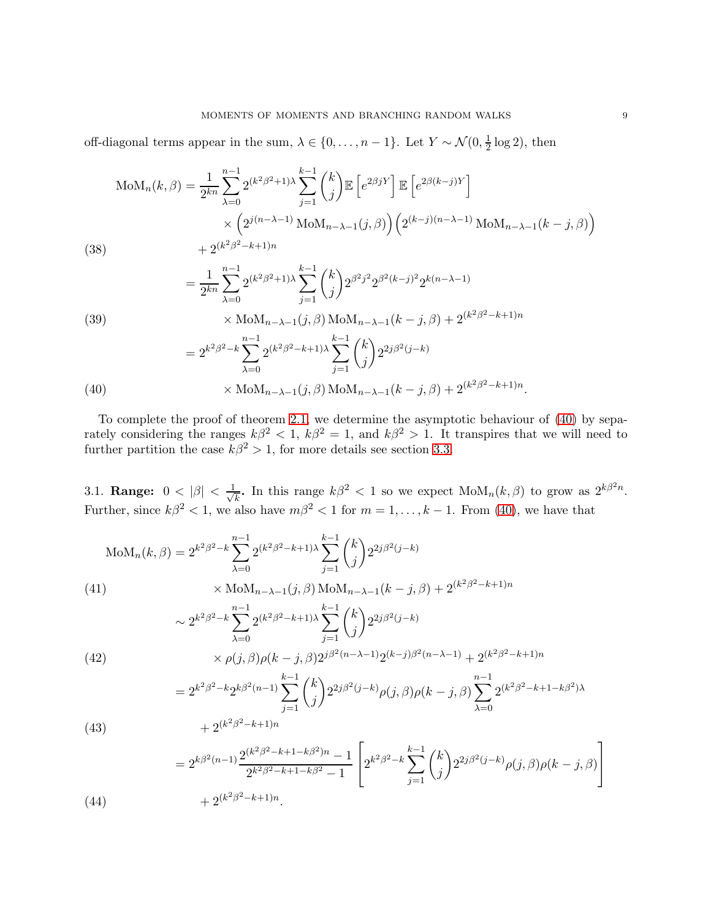off-diagonal terms appear in the sum,  $\lambda \in \{0, \ldots, n-1\}$ . Let  $Y \sim \mathcal{N}(0, \frac{1}{2})$  $\frac{1}{2}$  log 2), then

$$
\text{MoM}_n(k,\beta) = \frac{1}{2^{kn}} \sum_{\lambda=0}^{n-1} 2^{(k^2\beta^2+1)\lambda} \sum_{j=1}^{k-1} {k \choose j} \mathbb{E} \left[ e^{2\beta jY} \right] \mathbb{E} \left[ e^{2\beta (k-j)Y} \right] \times \left( 2^{j(n-\lambda-1)} \text{MoM}_{n-\lambda-1}(j,\beta) \right) \left( 2^{(k-j)(n-\lambda-1)} \text{MoM}_{n-\lambda-1}(k-j,\beta) \right) + 2^{(k^2\beta^2 - k+1)n}
$$

(38)

$$
= \frac{1}{2^{kn}} \sum_{\lambda=0}^{n-1} 2^{(k^2 \beta^2 + 1)\lambda} \sum_{j=1}^{k-1} {k \choose j} 2^{\beta^2 j^2} 2^{\beta^2 (k-j)^2} 2^{k(n-\lambda-1)}
$$
  
× MoM<sub>n-\lambda-1</sub>(j, β) MoM<sub>n-\lambda-1</sub>(k - j, β) + 2<sup>(k^2 \beta^2 - k+1)n</sup>

(39) 
$$
\times \text{MoM}_{n-\lambda-1}(j,\beta) \text{MoM}_{n-\lambda-1}(k-j,\beta) + 2^{(k^2\beta^2 - k + 1)n}
$$

$$
2^{k^2\beta^2 - k} \sum_{k=1}^{n-1} 2^{(k^2\beta^2 - k + 1)\lambda} \sum_{k=1}^{n-1} k^2 \sum_{k=1}^{n-1} 2^{(k^2\beta^2 - k + 1)\lambda}
$$

$$
= 2^{k^2 \beta^2 - k} \sum_{\lambda=0}^{n-1} 2^{(k^2 \beta^2 - k + 1)\lambda} \sum_{j=1}^{k-1} {k \choose j} 2^{2j \beta^2 (j-k)}
$$
  
 
$$
\times \text{MoM}_{n-\lambda-1}(j,\beta) \text{MoM}_{n-\lambda-1}(k-j,\beta) + 2^{(k^2 \beta^2 - k + 1)n}.
$$

<span id="page-8-0"></span>To complete the proof of theorem [2.1,](#page-4-2) we determine the asymptotic behaviour of [\(40\)](#page-8-0) by separately considering the ranges  $k\beta^2 < 1$ ,  $k\beta^2 = 1$ , and  $k\beta^2 > 1$ . It transpires that we will need to further partition the case  $k\beta^2 > 1$ , for more details see section [3.3.](#page-10-0)

3.1. **Range:**  $0 < |\beta| < \frac{1}{\sqrt{\beta}}$  $\frac{1}{k}$ . In this range  $k\beta^2 < 1$  so we expect  $\text{MoM}_n(k,\beta)$  to grow as  $2^{k\beta^2 n}$ . Further, since  $k\beta^2 < 1$ , we also have  $m\beta^2 < 1$  for  $m = 1, ..., k - 1$ . From [\(40\)](#page-8-0), we have that

$$
\text{MoM}_n(k,\beta) = 2^{k^2\beta^2 - k} \sum_{\lambda=0}^{n-1} 2^{(k^2\beta^2 - k + 1)\lambda} \sum_{j=1}^{k-1} \binom{k}{j} 2^{2j\beta^2(j-k)}
$$
\n
$$
\times \text{MoM}_{n-\lambda-1}(j,\beta) \text{MoM}_{n-\lambda-1}(k-j,\beta) + 2^{(k^2\beta^2 - k + 1)n}
$$
\n
$$
\sim 2^{k^2\beta^2 - k} \sum_{\lambda=0}^{n-1} 2^{(k^2\beta^2 - k + 1)\lambda} \sum_{j=1}^{k-1} \binom{k}{j} 2^{2j\beta^2(j-k)}
$$
\n
$$
\times \rho(j,\beta)\rho(k-j,\beta)2^{j\beta^2(n-\lambda-1)}2^{(k-j)\beta^2(n-\lambda-1)} + 2^{(k^2\beta^2 - k + 1)n}
$$
\n(42)

$$
=2^{k^2\beta^2-k}2^{k\beta^2(n-1)}\sum_{j=1}^{k-1}\binom{k}{j}2^{2j\beta^2(j-k)}\rho(j,\beta)\rho(k-j,\beta)\sum_{\lambda=0}^{n-1}2^{(k^2\beta^2-k+1-k\beta^2)\lambda}
$$

 $+2^{(k^2\beta^2-k+1)n}$ (43)

 $(44)$ 

$$
= 2^{k\beta^2(n-1)} \frac{2^{(k^2\beta^2 - k + 1 - k\beta^2)n} - 1}{2^{k^2\beta^2 - k + 1 - k\beta^2} - 1} \left[ 2^{k^2\beta^2 - k} \sum_{j=1}^{k-1} {k \choose j} 2^{2j\beta^2(j-k)} \rho(j,\beta) \rho(k-j,\beta) \right]
$$
  
+ 2<sup>(k^2\beta^2 - k + 1)n</sup>.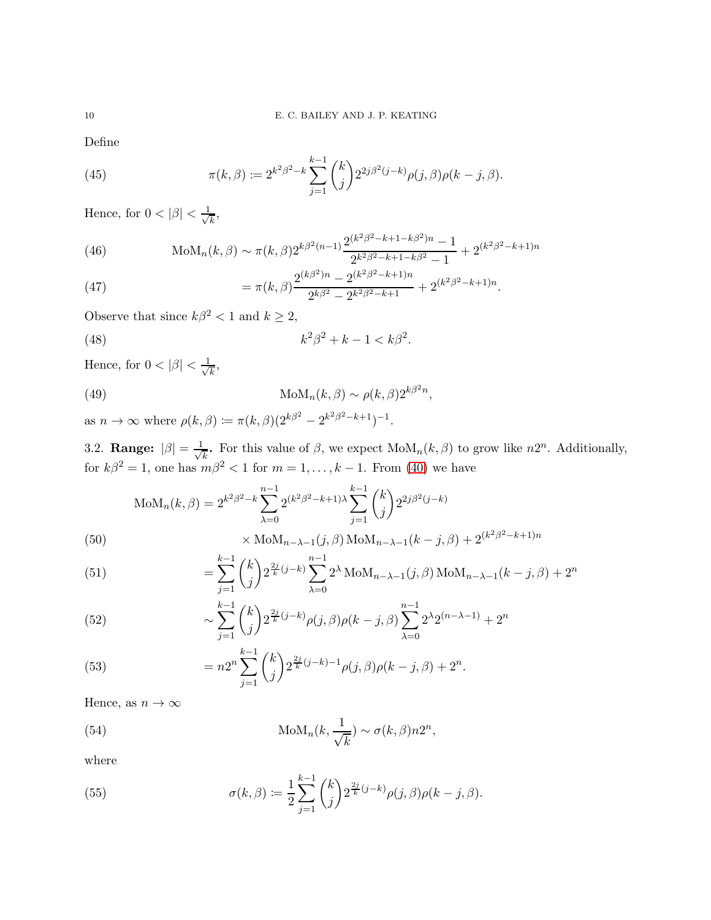Define

(45) 
$$
\pi(k,\beta) := 2^{k^2\beta^2 - k} \sum_{j=1}^{k-1} {k \choose j} 2^{2j\beta^2(j-k)} \rho(j,\beta) \rho(k-j,\beta).
$$

Hence, for  $0 < |\beta| < \frac{1}{\sqrt{\beta}}$  $\overline{k}$ ,

(46) 
$$
\text{MoM}_n(k,\beta) \sim \pi(k,\beta) 2^{k\beta^2(n-1)} \frac{2^{(k^2\beta^2 - k + 1 - k\beta^2)n} - 1}{2^{k^2\beta^2 - k + 1 - k\beta^2} - 1} + 2^{(k^2\beta^2 - k + 1)n}
$$

(47) 
$$
= \pi(k,\beta) \frac{2^{(k\beta^2)n} - 2^{(k^2\beta^2 - k + 1)n}}{2^{k\beta^2} - 2^{k^2\beta^2 - k + 1}} + 2^{(k^2\beta^2 - k + 1)n}.
$$

Observe that since  $k\beta^2 < 1$  and  $k \geq 2$ ,

(48) 
$$
k^2\beta^2 + k - 1 < k\beta^2.
$$

Hence, for  $0 < |\beta| < \frac{1}{\sqrt{\beta}}$  $\overline{k}$ ,

(49) 
$$
\text{MoM}_n(k,\beta) \sim \rho(k,\beta)2^{k\beta^2 n},
$$

as  $n \to \infty$  where  $\rho(k, \beta) := \pi(k, \beta)(2^{k\beta^2} - 2^{k^2\beta^2 - k + 1})^{-1}$ .

<span id="page-9-0"></span>3.2. Range:  $|\beta| = \frac{1}{\sqrt{\beta}}$  $\frac{1}{k}$ . For this value of  $\beta$ , we expect  $\text{MoM}_n(k,\beta)$  to grow like  $n2^n$ . Additionally, for  $k\beta^2 = 1$ , one has  $m\beta^2 < 1$  for  $m = 1, ..., k - 1$ . From [\(40\)](#page-8-0) we have

$$
\text{MoM}_n(k,\beta) = 2^{k^2\beta^2 - k} \sum_{\lambda=0}^{n-1} 2^{(k^2\beta^2 - k + 1)\lambda} \sum_{j=1}^{k-1} \binom{k}{j} 2^{2j\beta^2(j-k)}
$$
  

$$
\times \text{MoM}_{n-\lambda-1}(j,\beta) \text{MoM}_{n-\lambda-1}(k-j,\beta) + 2^{(k^2\beta^2 - k + 1)n}
$$

(51) 
$$
= \sum_{j=1}^{k-1} {k \choose j} 2^{\frac{2j}{k}(j-k)} \sum_{\lambda=0}^{n-1} 2^{\lambda} \text{MoM}_{n-\lambda-1}(j,\beta) \text{MoM}_{n-\lambda-1}(k-j,\beta) + 2^{n}
$$

(52) 
$$
\sim \sum_{j=1}^{k-1} {k \choose j} 2^{\frac{2j}{k}(j-k)} \rho(j,\beta) \rho(k-j,\beta) \sum_{\lambda=0}^{n-1} 2^{\lambda} 2^{(n-\lambda-1)} + 2^n
$$

(53) 
$$
= n2^{n} \sum_{j=1}^{k-1} {k \choose j} 2^{\frac{2j}{k}(j-k)-1} \rho(j,\beta) \rho(k-j,\beta) + 2^{n}.
$$

Hence, as  $n \to \infty$ 

(54) 
$$
\text{MoM}_n(k, \frac{1}{\sqrt{k}}) \sim \sigma(k, \beta) n 2^n,
$$

where

(55) 
$$
\sigma(k,\beta) := \frac{1}{2} \sum_{j=1}^{k-1} {k \choose j} 2^{\frac{2j}{k}(j-k)} \rho(j,\beta) \rho(k-j,\beta).
$$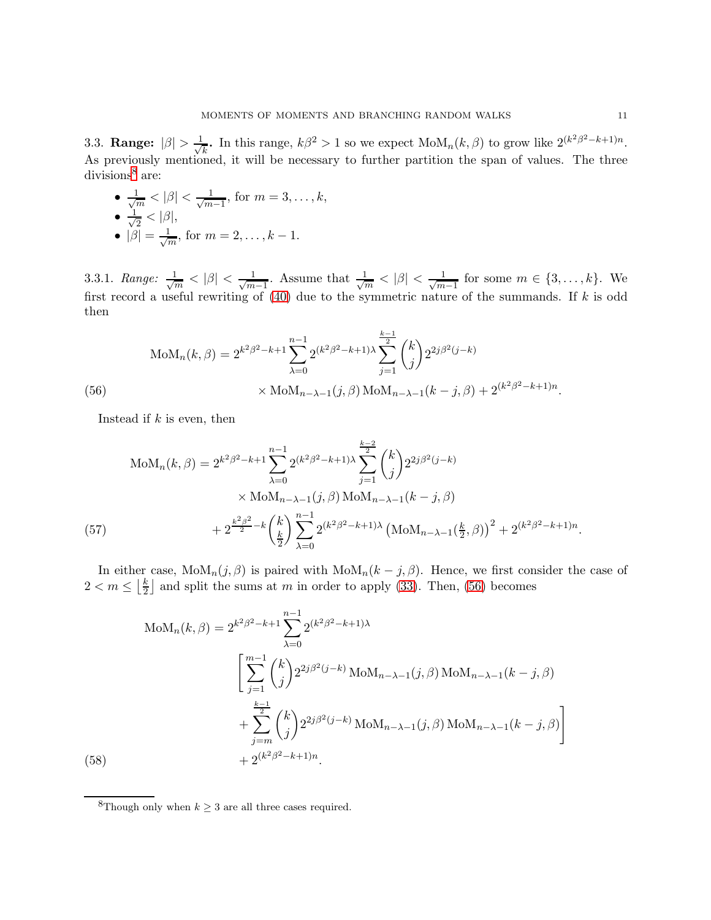<span id="page-10-0"></span>3.3. Range:  $|\beta| > \frac{1}{\sqrt{\beta}}$  $\frac{1}{k}$ . In this range,  $k\beta^2 > 1$  so we expect  $\text{MoM}_n(k, \beta)$  to grow like  $2^{(k^2\beta^2 - k + 1)n}$ . As previously mentioned, it will be necessary to further partition the span of values. The three divisions<sup>[8](#page-10-1)</sup> are:

 $\bullet$   $\frac{1}{\sqrt{7}}$  $\frac{1}{m} < |\beta| < \frac{1}{\sqrt{m}}$  $\frac{1}{m-1}$ , for  $m=3,\ldots,k$ ,  $\bullet$   $\frac{1}{\sqrt{2}}$  $\frac{1}{2} < |\beta|,$ •  $|\beta| = \frac{1}{\sqrt{n}}$  $\frac{1}{m}$ , for  $m = 2, ..., k - 1$ .

<span id="page-10-4"></span>3.3.1. *Range*:  $\frac{1}{\sqrt{2}}$  $\frac{1}{m} < |\beta| < \frac{1}{\sqrt{m}}$  $\frac{1}{m-1}$ . Assume that  $\frac{1}{\sqrt{n}}$  $\frac{1}{m} < |\beta| < \frac{1}{\sqrt{m}}$  $\frac{1}{m-1}$  for some  $m \in \{3, \ldots, k\}$ . We first record a useful rewriting of  $(40)$  due to the symmetric nature of the summands. If k is odd then

$$
\text{MoM}_n(k,\beta) = 2^{k^2\beta^2 - k + 1} \sum_{\lambda=0}^{n-1} 2^{(k^2\beta^2 - k + 1)\lambda} \sum_{j=1}^{\frac{k-1}{2}} \binom{k}{j} 2^{2j\beta^2(j-k)}
$$
  
 
$$
\times \text{MoM}_{n-\lambda-1}(j,\beta) \text{MoM}_{n-\lambda-1}(k-j,\beta) + 2^{(k^2\beta^2 - k + 1)n}.
$$

<span id="page-10-2"></span>Instead if  $k$  is even, then

$$
\text{MoM}_n(k,\beta) = 2^{k^2\beta^2 - k + 1} \sum_{\lambda=0}^{n-1} 2^{(k^2\beta^2 - k + 1)\lambda} \sum_{j=1}^{\frac{k-2}{2}} \binom{k}{j} 2^{2j\beta^2(j-k)} \\
\times \text{MoM}_{n-\lambda-1}(j,\beta) \text{MoM}_{n-\lambda-1}(k-j,\beta) \\
+ 2^{\frac{k^2\beta^2}{2} - k} \binom{k}{\frac{k}{2}} \sum_{\lambda=0}^{n-1} 2^{(k^2\beta^2 - k + 1)\lambda} \left(\text{MoM}_{n-\lambda-1}(\frac{k}{2},\beta)\right)^2 + 2^{(k^2\beta^2 - k + 1)n}.
$$

<span id="page-10-5"></span>In either case,  $\text{MoM}_n(j, \beta)$  is paired with  $\text{MoM}_n(k - j, \beta)$ . Hence, we first consider the case of  $2 < m \leq \left\lfloor\frac{k}{2}\right\rfloor$  $\frac{k}{2}$  and split the sums at m in order to apply [\(33\)](#page-7-1). Then, [\(56\)](#page-10-2) becomes

$$
\text{MoM}_n(k,\beta) = 2^{k^2\beta^2 - k + 1} \sum_{\lambda=0}^{n-1} 2^{(k^2\beta^2 - k + 1)\lambda}
$$
\n
$$
\left[ \sum_{j=1}^{m-1} {k \choose j} 2^{2j\beta^2(j-k)} \text{MoM}_{n-\lambda-1}(j,\beta) \text{MoM}_{n-\lambda-1}(k-j,\beta) + \sum_{j=m}^{k-1} {k \choose j} 2^{2j\beta^2(j-k)} \text{MoM}_{n-\lambda-1}(j,\beta) \text{MoM}_{n-\lambda-1}(k-j,\beta) \right]
$$
\n(58)\n
$$
+ 2^{(k^2\beta^2 - k + 1)n}.
$$

<span id="page-10-3"></span><span id="page-10-1"></span><sup>&</sup>lt;sup>8</sup>Though only when  $k \geq 3$  are all three cases required.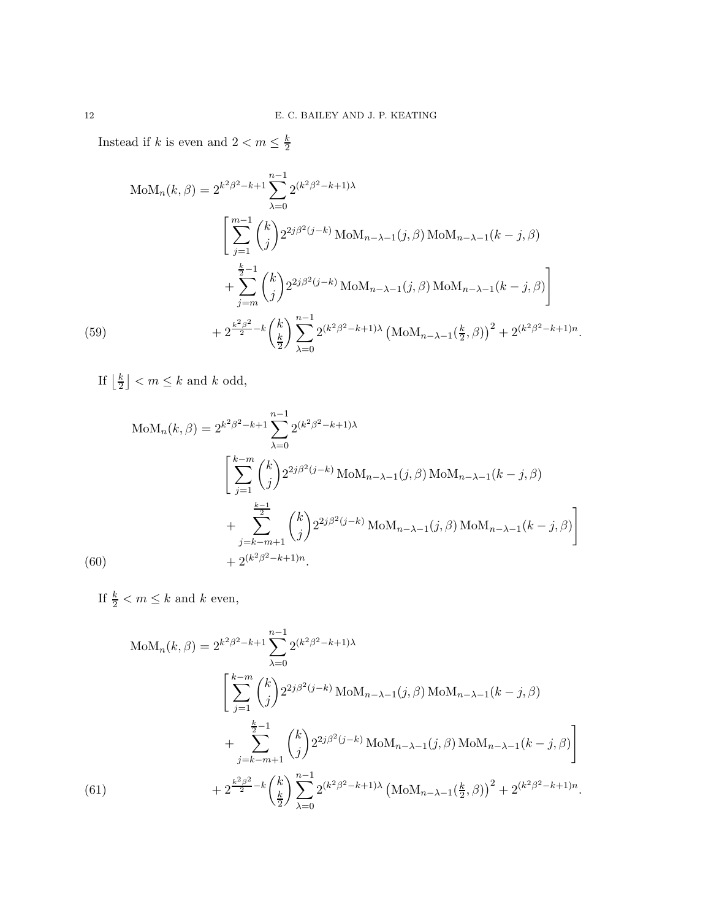Instead if k is even and  $2 < m \leq \frac{k}{2}$ 2

$$
\text{MoM}_n(k,\beta) = 2^{k^2\beta^2 - k + 1} \sum_{\lambda=0}^{n-1} 2^{(k^2\beta^2 - k + 1)\lambda}
$$
\n
$$
\left[ \sum_{j=1}^{m-1} {k \choose j} 2^{2j\beta^2(j-k)} \text{MoM}_{n-\lambda-1}(j,\beta) \text{MoM}_{n-\lambda-1}(k-j,\beta) + \sum_{j=m}^{\frac{k}{2}-1} {k \choose j} 2^{2j\beta^2(j-k)} \text{MoM}_{n-\lambda-1}(j,\beta) \text{MoM}_{n-\lambda-1}(k-j,\beta) \right]
$$
\n
$$
+ 2^{\frac{k^2\beta^2}{2} - k} {k \choose \frac{k}{2}} \sum_{\lambda=0}^{n-1} 2^{(k^2\beta^2 - k + 1)\lambda} \left( \text{MoM}_{n-\lambda-1}(\frac{k}{2},\beta) \right)^2 + 2^{(k^2\beta^2 - k + 1)n}.
$$

If  $\frac{k}{2}$  $\left\lfloor \frac{k}{2} \right\rfloor < m \leq k$  and k odd,

$$
\text{MoM}_n(k,\beta) = 2^{k^2\beta^2 - k + 1} \sum_{\lambda=0}^{n-1} 2^{(k^2\beta^2 - k + 1)\lambda}
$$
\n
$$
\left[ \sum_{j=1}^{k-m} \binom{k}{j} 2^{2j\beta^2(j-k)} \text{MoM}_{n-\lambda-1}(j,\beta) \text{MoM}_{n-\lambda-1}(k-j,\beta) + \sum_{j=k-m+1}^{k-1} \binom{k}{j} 2^{2j\beta^2(j-k)} \text{MoM}_{n-\lambda-1}(j,\beta) \text{MoM}_{n-\lambda-1}(k-j,\beta) \right]
$$
\n(60)\n
$$
+ 2^{(k^2\beta^2 - k + 1)n}.
$$

<span id="page-11-0"></span>If  $\frac{k}{2} < m \leq k$  and k even,

$$
\text{MoM}_n(k,\beta) = 2^{k^2\beta^2 - k + 1} \sum_{\lambda=0}^{n-1} 2^{(k^2\beta^2 - k + 1)\lambda}
$$
\n
$$
\left[ \sum_{j=1}^{k-m} \binom{k}{j} 2^{2j\beta^2(j-k)} \text{MoM}_{n-\lambda-1}(j,\beta) \text{MoM}_{n-\lambda-1}(k-j,\beta) + \sum_{j=k-m+1}^{\frac{k}{2}-1} \binom{k}{j} 2^{2j\beta^2(j-k)} \text{MoM}_{n-\lambda-1}(j,\beta) \text{MoM}_{n-\lambda-1}(k-j,\beta) \right]
$$
\n(61)\n
$$
+ 2^{\frac{k^2\beta^2}{2} - k} \binom{k}{\frac{k}{2}} \sum_{\lambda=0}^{n-1} 2^{(k^2\beta^2 - k + 1)\lambda} \left( \text{MoM}_{n-\lambda-1}(\frac{k}{2},\beta) \right)^2 + 2^{(k^2\beta^2 - k + 1)n}.
$$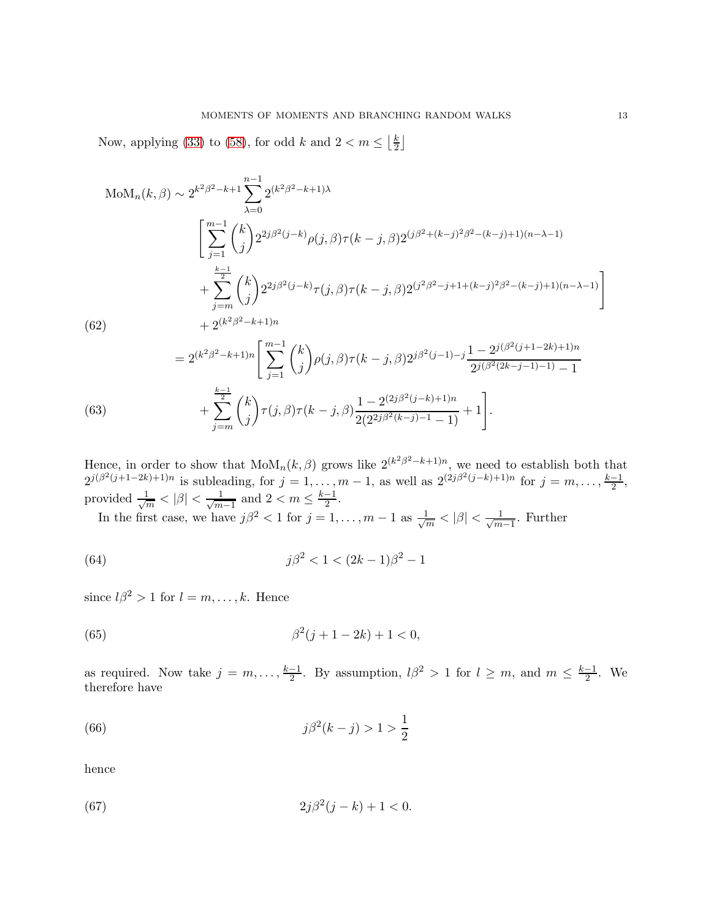Now, applying [\(33\)](#page-7-1) to [\(58\)](#page-10-3), for odd k and  $2 < m \leq \lfloor \frac{k}{2} \rfloor$  $\frac{k}{2}$ 

$$
\begin{split} \text{MoM}_{n}(k,\beta) &\sim 2^{k^{2}\beta^{2}-k+1} \sum_{\lambda=0}^{n-1} 2^{(k^{2}\beta^{2}-k+1)\lambda} \\ & \left[ \sum_{j=1}^{m-1} \binom{k}{j} 2^{2j\beta^{2}(j-k)} \rho(j,\beta) \tau(k-j,\beta) 2^{(j\beta^{2}+(k-j)^{2}\beta^{2}-(k-j)+1)(n-\lambda-1)} \right. \\ &\left. + \sum_{j=m}^{\frac{k-1}{2}} \binom{k}{j} 2^{2j\beta^{2}(j-k)} \tau(j,\beta) \tau(k-j,\beta) 2^{(j^{2}\beta^{2}-j+1+(k-j)^{2}\beta^{2}-(k-j)+1)(n-\lambda-1)} \right] \\ (62) & \left. + 2^{(k^{2}\beta^{2}-k+1)n} \right] \end{split}
$$

$$
= 2^{(k^2\beta^2 - k + 1)n} \Bigg[ \sum_{j=1}^{m-1} {k \choose j} \rho(j,\beta) \tau(k-j,\beta) 2^{j\beta^2(j-1)-j} \frac{1 - 2^{j(\beta^2(j+1-2k)+1)n}}{2^{j(\beta^2(2k-j-1)-1)} - 1} + \sum_{j=m}^{k-1} {k \choose j} \tau(j,\beta) \tau(k-j,\beta) \frac{1 - 2^{(2j\beta^2(j-k)+1)n}}{2(2^{2j\beta^2(k-j)-1} - 1)} + 1 \Bigg].
$$

Hence, in order to show that  $M_0(N, \beta)$  grows like  $2^{(k^2\beta^2 - k + 1)n}$ , we need to establish both that  $2^{j(\beta^2(j+1-2k)+1)n}$  is subleading, for  $j=1,\ldots,m-1$ , as well as  $2^{(2j\beta^2(j-k)+1)n}$  for  $j=m,\ldots,\frac{k-1}{2}$ , provided  $\frac{1}{\sqrt{2}}$  $\frac{1}{m} < |\beta| < \frac{1}{\sqrt{m}}$  $\frac{1}{m-1}$  and  $2 < m \leq \frac{k-1}{2}$ .

<span id="page-12-0"></span>In the first case, we have  $j\beta^2 < 1$  for  $j = 1, \ldots, m - 1$  as  $\frac{1}{\sqrt{t}}$  $\frac{1}{m} < |\beta| < \frac{1}{\sqrt{m}}$  $\frac{1}{m-1}$ . Further

(64) 
$$
j\beta^2 < 1 < (2k-1)\beta^2 - 1
$$

since  $l\beta^2 > 1$  for  $l = m, \ldots, k$ . Hence

<span id="page-12-1"></span>(65) 
$$
\beta^2(j+1-2k)+1 < 0,
$$

as required. Now take  $j = m, \ldots, \frac{k-1}{2}$ . By assumption,  $l\beta^2 > 1$  for  $l \geq m$ , and  $m \leq \frac{k-1}{2}$ . We therefore have

(66) 
$$
j\beta^2(k-j) > 1 > \frac{1}{2}
$$

hence

(67) 
$$
2j\beta^2(j-k)+1 < 0.
$$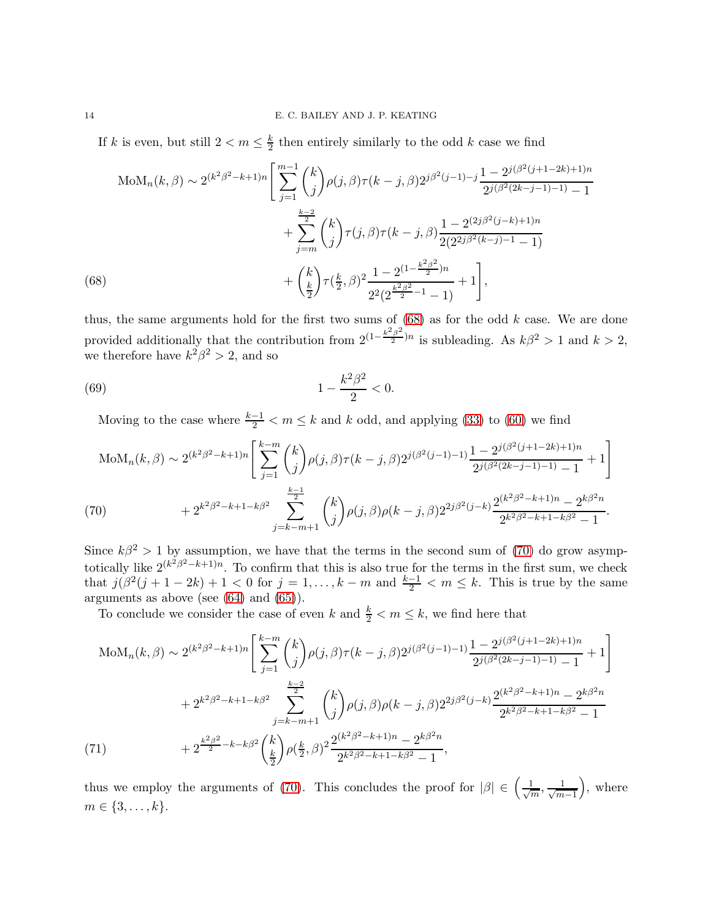If k is even, but still  $2 < m \leq \frac{k}{2}$  $\frac{k}{2}$  then entirely similarly to the odd k case we find

$$
\begin{split} \text{MoM}_{n}(k,\beta) &\sim 2^{(k^{2}\beta^{2}-k+1)n} \Bigg[ \sum_{j=1}^{m-1} \binom{k}{j} \rho(j,\beta) \tau(k-j,\beta) 2^{j\beta^{2}(j-1)-j} \frac{1-2^{j(\beta^{2}(j+1-2k)+1)n}}{2^{j(\beta^{2}(2k-j-1)-1)}-1} \\ &+ \sum_{j=m}^{\frac{k-2}{2}} \binom{k}{j} \tau(j,\beta) \tau(k-j,\beta) \frac{1-2^{(2j\beta^{2}(j-k)+1)n}}{2(2^{2j\beta^{2}(k-j)-1}-1)} \\ &+ \binom{k}{\frac{k}{2}} \tau(\frac{k}{2},\beta)^{2} \frac{1-2^{(1-\frac{k^{2}\beta^{2}}{2})n}}{2^{2}(2^{\frac{k^{2}\beta^{2}}{2}-1}-1)} + 1 \Bigg], \end{split}
$$
\n
$$
(68)
$$

<span id="page-13-0"></span>thus, the same arguments hold for the first two sums of  $(68)$  as for the odd k case. We are done provided additionally that the contribution from  $2^{(1-\frac{k^2\beta^2}{2})}$  $\frac{p}{2}^{2}$ <sup>2</sup> is subleading. As  $k\beta^2 > 1$  and  $k > 2$ , we therefore have  $k^2\beta^2 > 2$ , and so

(69) 
$$
1 - \frac{k^2 \beta^2}{2} < 0.
$$

Moving to the case where  $\frac{k-1}{2} < m \leq k$  and k odd, and applying [\(33\)](#page-7-1) to [\(60\)](#page-11-0) we find

$$
\text{MoM}_n(k,\beta) \sim 2^{(k^2\beta^2 - k + 1)n} \left[ \sum_{j=1}^{k-m} \binom{k}{j} \rho(j,\beta) \tau(k-j,\beta) 2^{j(\beta^2(j-1)-1)} \frac{1 - 2^{j(\beta^2(j+1-2k)+1)n}}{2^{j(\beta^2(2k-j-1)-1)} - 1} + 1 \right]
$$
\n
$$
(70) \qquad + 2^{k^2\beta^2 - k + 1 - k\beta^2} \sum_{j=k-m+1}^{k-1} \binom{k}{j} \rho(j,\beta) \rho(k-j,\beta) 2^{2j\beta^2(j-k)} \frac{2^{(k^2\beta^2 - k + 1)n} - 2^{k\beta^2 n}}{2^{k^2\beta^2 - k + 1 - k\beta^2} - 1}.
$$

<span id="page-13-1"></span>Since  $k\beta^2 > 1$  by assumption, we have that the terms in the second sum of [\(70\)](#page-13-1) do grow asymptotically like  $2^{(k^2)^2 - k + 1)n}$ . To confirm that this is also true for the terms in the first sum, we check that  $j(\beta^2(j+1-2k)+1<0$  for  $j=1,\ldots,k-m$  and  $\frac{k-1}{2} < m \leq k$ . This is true by the same arguments as above (see [\(64\)](#page-12-0) and [\(65\)](#page-12-1)).

To conclude we consider the case of even k and  $\frac{k}{2} < m \leq k$ , we find here that

$$
\text{MoM}_n(k,\beta) \sim 2^{(k^2\beta^2 - k + 1)n} \left[ \sum_{j=1}^{k-m} {k \choose j} \rho(j,\beta) \tau(k-j,\beta) 2^{j(\beta^2(j-1)-1)} \frac{1 - 2^{j(\beta^2(j+1-2k)+1)n}}{2^{j(\beta^2(2k-j-1)-1)} - 1} + 1 \right]
$$
\n
$$
+ 2^{k^2\beta^2 - k + 1 - k\beta^2} \sum_{j=k-m+1}^{k-2} {k \choose j} \rho(j,\beta) \rho(k-j,\beta) 2^{2j\beta^2(j-k)} \frac{2^{(k^2\beta^2 - k + 1)n} - 2^{k\beta^2 n}}{2^{k^2\beta^2 - k + 1 - k\beta^2} - 1}
$$
\n
$$
(71) \qquad + 2^{\frac{k^2\beta^2}{2} - k - k\beta^2} {k \choose \frac{k}{2}} \rho(\frac{k}{2},\beta)^2 \frac{2^{(k^2\beta^2 - k + 1)n} - 2^{k\beta^2 n}}{2^{k^2\beta^2 - k + 1 - k\beta^2} - 1},
$$

thus we employ the arguments of [\(70\)](#page-13-1). This concludes the proof for  $|\beta| \in \left(\frac{1}{\sqrt{2}}\right)$  $\frac{1}{m}, \frac{1}{\sqrt{m}}$  $m-1$  , where  $m \in \{3, \ldots, k\}.$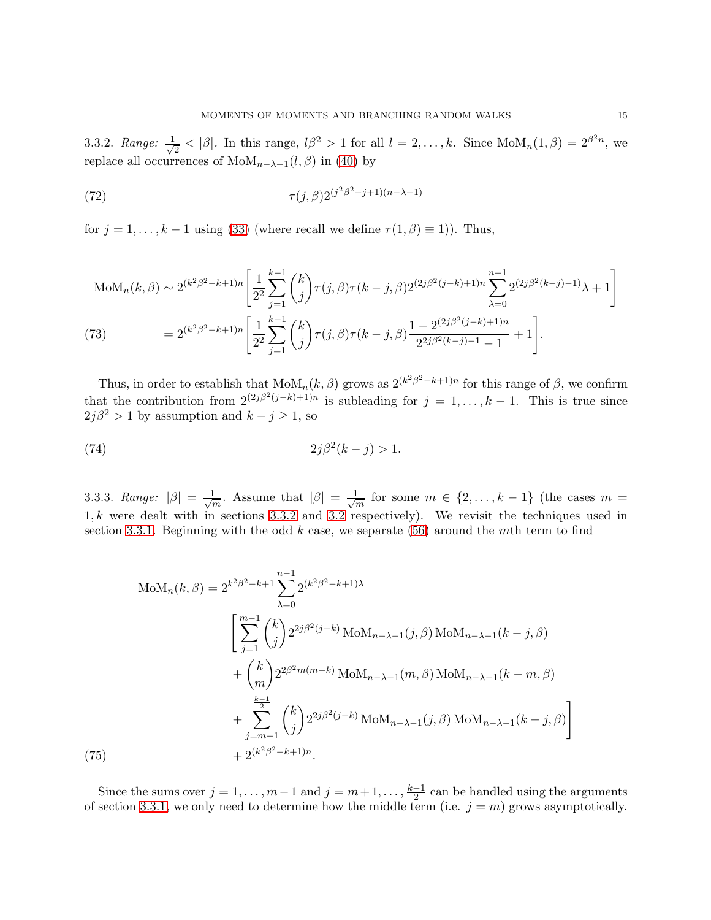<span id="page-14-0"></span>3.3.2. *Range:* <sup>√</sup> 1  $\frac{1}{2} < |\beta|$ . In this range,  $l\beta^2 > 1$  for all  $l = 2, ..., k$ . Since  $M \circ M_n(1, \beta) = 2^{\beta^2 n}$ , we replace all occurrences of  $\text{MoM}_{n-\lambda-1}(l,\beta)$  in [\(40\)](#page-8-0) by

(72) 
$$
\tau(j,\beta)2^{(j^2\beta^2-j+1)(n-\lambda-1)}
$$

for  $j = 1, ..., k - 1$  using [\(33\)](#page-7-1) (where recall we define  $\tau(1, \beta) \equiv 1$ )). Thus,

$$
\text{MoM}_n(k,\beta) \sim 2^{(k^2\beta^2 - k + 1)n} \left[ \frac{1}{2^2} \sum_{j=1}^{k-1} {k \choose j} \tau(j,\beta) \tau(k-j,\beta) 2^{(2j\beta^2(j-k)+1)n} \sum_{\lambda=0}^{n-1} 2^{(2j\beta^2(k-j)-1)} \lambda + 1 \right]
$$
\n
$$
(73) \qquad = 2^{(k^2\beta^2 - k + 1)n} \left[ \frac{1}{2^2} \sum_{j=1}^{k-1} {k \choose j} \tau(j,\beta) \tau(k-j,\beta) \frac{1 - 2^{(2j\beta^2(j-k)+1)n}}{2^{2j\beta^2(k-j)-1} - 1} + 1 \right].
$$

Thus, in order to establish that  $M_0(N, \beta)$  grows as  $2^{(k^2\beta^2 - k + 1)n}$  for this range of  $\beta$ , we confirm that the contribution from  $2^{(2j\beta^2(j-k)+1)n}$  is subleading for  $j = 1, ..., k-1$ . This is true since  $2j\beta^2 > 1$  by assumption and  $k - j \ge 1$ , so

(74) 
$$
2j\beta^2(k-j) > 1.
$$

3.3.3. *Range:*  $|\beta| = \frac{1}{\sqrt{n}}$  $\frac{1}{m}$ . Assume that  $|\beta| = \frac{1}{\sqrt{n}}$  $\frac{1}{m}$  for some  $m \in \{2, \ldots, k-1\}$  (the cases  $m =$  $1, k$  were dealt with in sections [3.3.2](#page-14-0) and [3.2](#page-9-0) respectively). We revisit the techniques used in section [3.3.1.](#page-10-4) Beginning with the odd  $k$  case, we separate [\(56\)](#page-10-2) around the mth term to find

$$
\begin{split} \text{MoM}_{n}(k,\beta) &= 2^{k^{2}\beta^{2}-k+1} \sum_{\lambda=0}^{n-1} 2^{(k^{2}\beta^{2}-k+1)\lambda} \\ & \bigg[\sum_{j=1}^{m-1} \binom{k}{j} 2^{2j\beta^{2}(j-k)} \, \text{MoM}_{n-\lambda-1}(j,\beta) \, \text{MoM}_{n-\lambda-1}(k-j,\beta) \\ &+ \binom{k}{m} 2^{2\beta^{2}m(m-k)} \, \text{MoM}_{n-\lambda-1}(m,\beta) \, \text{MoM}_{n-\lambda-1}(k-m,\beta) \\ &+ \sum_{j=m+1}^{\frac{k-1}{2}} \binom{k}{j} 2^{2j\beta^{2}(j-k)} \, \text{MoM}_{n-\lambda-1}(j,\beta) \, \text{MoM}_{n-\lambda-1}(k-j,\beta) \\ &+ 2^{(k^{2}\beta^{2}-k+1)n} .\end{split}
$$
\n
$$
\begin{split}
$$
\n(75)

Since the sums over  $j = 1, \ldots, m-1$  and  $j = m+1, \ldots, \frac{k-1}{2}$  can be handled using the arguments of section [3.3.1,](#page-10-4) we only need to determine how the middle term (i.e.  $j = m$ ) grows asymptotically.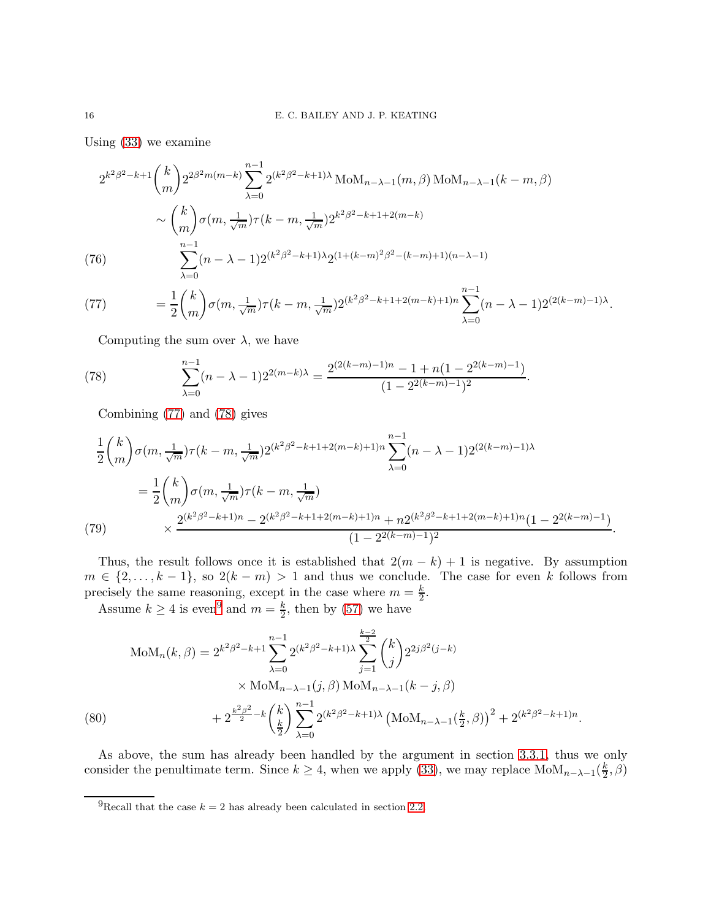Using [\(33\)](#page-7-1) we examine

$$
2^{k^2 \beta^2 - k + 1} {k \choose m} 2^{2\beta^2 m(m-k)} \sum_{\lambda=0}^{n-1} 2^{(k^2 \beta^2 - k + 1)\lambda} \text{MoM}_{n-\lambda-1}(m, \beta) \text{MoM}_{n-\lambda-1}(k-m, \beta)
$$

$$
\sim {k \choose m} \sigma(m, \frac{1}{\sqrt{m}}) \tau(k-m, \frac{1}{\sqrt{m}}) 2^{k^2 \beta^2 - k + 1 + 2(m-k)}
$$

$$
\sum_{\lambda=0}^{n-1} (n - \lambda - 1) 2^{(k^2 \beta^2 - k + 1)\lambda} 2^{(1 + (k-m)^2 \beta^2 - (k-m) + 1)(n-\lambda-1)}
$$

<span id="page-15-0"></span>(77) 
$$
= \frac{1}{2} {k \choose m} \sigma(m, \frac{1}{\sqrt{m}}) \tau(k-m, \frac{1}{\sqrt{m}}) 2^{(k^2 \beta^2 - k + 1 + 2(m-k) + 1)n} \sum_{\lambda=0}^{n-1} (n - \lambda - 1) 2^{(2(k-m)-1)\lambda}.
$$

Computing the sum over  $\lambda$ , we have

<span id="page-15-1"></span>(78) 
$$
\sum_{\lambda=0}^{n-1} (n-\lambda-1) 2^{2(m-k)\lambda} = \frac{2^{(2(k-m)-1)n} - 1 + n(1-2^{2(k-m)-1})}{(1-2^{2(k-m)-1})^2}.
$$

Combining [\(77\)](#page-15-0) and [\(78\)](#page-15-1) gives

$$
\frac{1}{2}\binom{k}{m}\sigma(m,\frac{1}{\sqrt{m}})\tau(k-m,\frac{1}{\sqrt{m}})2^{(k^2\beta^2-k+1+2(m-k)+1)n}\sum_{\lambda=0}^{n-1}(n-\lambda-1)2^{(2(k-m)-1)\lambda}
$$
\n
$$
=\frac{1}{2}\binom{k}{m}\sigma(m,\frac{1}{\sqrt{m}})\tau(k-m,\frac{1}{\sqrt{m}})
$$
\n(79)\n
$$
\times \frac{2^{(k^2\beta^2-k+1)n}-2^{(k^2\beta^2-k+1+2(m-k)+1)n}+n2^{(k^2\beta^2-k+1+2(m-k)+1)n}(1-2^{2(k-m)-1})}{(1-2^{2(k-m)-1})^2}.
$$

Thus, the result follows once it is established that  $2(m - k) + 1$  is negative. By assumption  $m \in \{2, \ldots, k-1\}$ , so  $2(k-m) > 1$  and thus we conclude. The case for even k follows from precisely the same reasoning, except in the case where  $m = \frac{k}{2}$  $\frac{\kappa}{2}$ .

Assume  $k \ge 4$  is even<sup>[9](#page-15-2)</sup> and  $m = \frac{k}{2}$ , then by [\(57\)](#page-10-5) we have

$$
\text{MoM}_n(k,\beta) = 2^{k^2\beta^2 - k + 1} \sum_{\lambda=0}^{n-1} 2^{(k^2\beta^2 - k + 1)\lambda} \sum_{j=1}^{\frac{k-2}{2}} \binom{k}{j} 2^{2j\beta^2(j-k)} \times \text{MoM}_{n-\lambda-1}(j,\beta) \text{MoM}_{n-\lambda-1}(k-j,\beta) + 2^{\frac{k^2\beta^2}{2} - k} \binom{k}{\frac{k}{2}} \sum_{\lambda=0}^{n-1} 2^{(k^2\beta^2 - k + 1)\lambda} \left(\text{MoM}_{n-\lambda-1}(\frac{k}{2},\beta)\right)^2 + 2^{(k^2\beta^2 - k + 1)n}.
$$

As above, the sum has already been handled by the argument in section [3.3.1,](#page-10-4) thus we only consider the penultimate term. Since  $k \geq 4$ , when we apply [\(33\)](#page-7-1), we may replace MoM<sub>n-λ-1</sub>( $\frac{k}{2}$ )  $\frac{\kappa}{2}, \beta)$ 

<span id="page-15-2"></span><sup>&</sup>lt;sup>9</sup>Recall that the case  $k = 2$  has already been calculated in section [2.2.](#page-4-6)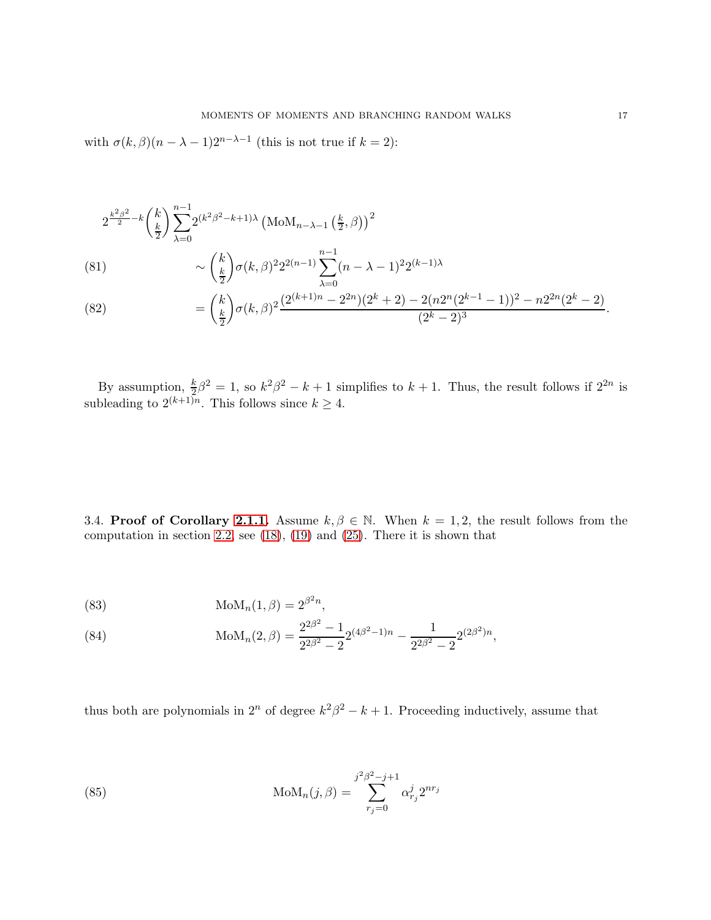with  $\sigma(k,\beta)(n-\lambda-1)2^{n-\lambda-1}$  (this is not true if  $k=2$ ):

$$
2^{\frac{k^2\beta^2}{2}-k} {\binom{k}{\frac{k}{2}}} \sum_{\lambda=0}^{n-1} 2^{(k^2\beta^2-k+1)\lambda} \left(\text{MoM}_{n-\lambda-1} \left(\frac{k}{2}, \beta\right)\right)^2
$$
\n(81)\n
$$
\sim {\binom{k}{\frac{k}{2}}} \sigma(k, \beta)^2 2^{2(n-1)} \sum_{\lambda=0}^{n-1} (n-\lambda-1)^2 2^{(k-1)\lambda}
$$
\n(82)\n
$$
= {\binom{k}{2}} \sigma(k, \beta)^2 \frac{(2^{(k+1)n} - 2^{2n})(2^k + 2) - 2(n2^n(2^{k-1} - 1))^2 - n2^{2n}(2^k - 2)}{(2n+1)n}
$$

(82) 
$$
= \left(\frac{k}{2}\right) \sigma(k,\beta)^2 \frac{(2^{(k+1)(k-2)}) (2^k+2) - 2(n2^k(2^k-1)) - n2^k(2^k-2)}{(2^k-2)^3}.
$$

By assumption,  $\frac{k}{2}\beta^2 = 1$ , so  $k^2\beta^2 - k + 1$  simplifies to  $k + 1$ . Thus, the result follows if  $2^{2n}$  is subleading to  $2^{(k+1)n}$ . This follows since  $k \geq 4$ .

3.4. Proof of Corollary [2.1.1.](#page-4-3) Assume  $k, \beta \in \mathbb{N}$ . When  $k = 1, 2$ , the result follows from the computation in section [2.2,](#page-4-6) see  $(18)$ ,  $(19)$  and  $(25)$ . There it is shown that

(83) 
$$
\text{MoM}_n(1,\beta) = 2^{\beta^2 n},
$$

(84) 
$$
\text{MoM}_n(2,\beta) = \frac{2^{2\beta^2} - 1}{2^{2\beta^2} - 2} 2^{(4\beta^2 - 1)n} - \frac{1}{2^{2\beta^2} - 2} 2^{(2\beta^2)n},
$$

thus both are polynomials in  $2^n$  of degree  $k^2\beta^2 - k + 1$ . Proceeding inductively, assume that

(85) 
$$
\text{MoM}_n(j,\beta) = \sum_{r_j=0}^{j^2 \beta^2 - j + 1} \alpha_{r_j}^j 2^{nr_j}
$$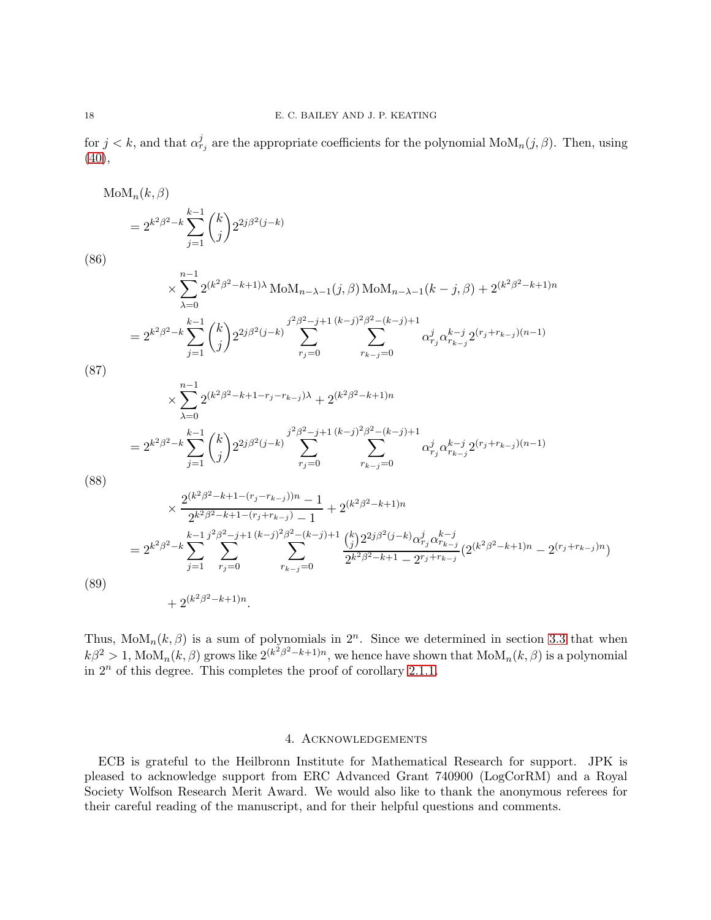for  $j < k$ , and that  $\alpha_{r_j}^j$  are the appropriate coefficients for the polynomial  $M_0$  $(n, \beta)$ . Then, using [\(40\)](#page-8-0),

 $\text{MoM}_n(k, \beta)$  $= 2^{k^2\beta^2-k}\sum^{k-1}$  $j=1$  $\sqrt{k}$ j  $\bigg\} 2^{2j\beta^2(j-k)}$ ×  $\sum_{n=1}^{n-1} 2^{(k^2\beta^2 - k + 1)\lambda} \text{MoM}_{n-\lambda-1}(j,\beta) \text{MoM}_{n-\lambda-1}(k-j,\beta) + 2^{(k^2\beta^2 - k + 1)n}$  $\lambda=0$ (86)  $= 2^{k^2\beta^2-k} \sum$  $\frac{k-1}{2}$  $j=1$  $\sqrt{k}$ j  $\bigg\} 2^{2j\beta^2(j-k)}$  $\sum^{j^2\beta^2-j+1}$  $r_j=0$  $\sum^{(k-j)^2\beta^2-(k-j)+1}$  $r_{k-j}=0$  $\alpha_{r_j}^j \alpha_{r_{k-j}}^{k-j} 2^{(r_j + r_{k-j})(n-1)}$ ×  $\sum^{n-1}$  $\lambda=0$  $2^{(k^2\beta^2-k+1-r_j-r_{k-j})\lambda}+2^{(k^2\beta^2-k+1)n}$ (87)  $= 2^{k^2\beta^2-k}\sum^{k-1}$  $j=1$  $\sqrt{k}$ j  $\bigg\} 2^{2j\beta^2(j-k)}$  $\sum^{j^2\beta^2-j+1}$  $r_j=0$  $\sum^{(k-j)^2\beta^2-(k-j)+1}$  $r_{k-j}=0$  $\alpha_{r_j}^j \alpha_{r_{k-j}}^{k-j} 2^{(r_j + r_{k-j})(n-1)}$ ×  $2^{(k^2\beta^2-k+1-(r_j-r_{k-j}))n}-1$  $2^{k^2\beta^2-k+1-(r_j+r_{k-j})}-1$  $+2^{(k^2\beta^2-k+1)n}$ (88)  $=2^{k^2\beta^2-k}\sum$  $\frac{k-1}{2}$  $j=1$  $\sum^{j^2\beta^2-j+1}$  $r_j=0$  $\sum^{(k-j)^2\beta^2-(k-j)+1}$  $r_{k-j}=0$  $\binom{k}{i}$  $\int_{j}^{k} 2^{2j\beta^2(j-k)} \alpha_{r_j}^j \alpha_{r_{k-j}}^{k-j}$  $\frac{\alpha_{r_j}\alpha_{r_{k-j}}}{2^{k^2\beta^2-k+1}-2^{r_j+r_{k-j}}} (2^{(k^2\beta^2-k+1)n}-2^{(r_j+r_{k-j})n})$  $+2^{(k^2\beta^2-k+1)n}$ . (89)

Thus,  $\text{MoM}_n(k, \beta)$  is a sum of polynomials in  $2^n$ . Since we determined in section [3.3](#page-10-0) that when  $k\beta^2 > 1$ , Mo $M_n(k, \beta)$  grows like  $2^{(k^2\beta^2 - k + 1)n}$ , we hence have shown that  $M_0M_n(k, \beta)$  is a polynomial in  $2^n$  of this degree. This completes the proof of corollary [2.1.1.](#page-4-3)

### 4. Acknowledgements

ECB is grateful to the Heilbronn Institute for Mathematical Research for support. JPK is pleased to acknowledge support from ERC Advanced Grant 740900 (LogCorRM) and a Royal Society Wolfson Research Merit Award. We would also like to thank the anonymous referees for their careful reading of the manuscript, and for their helpful questions and comments.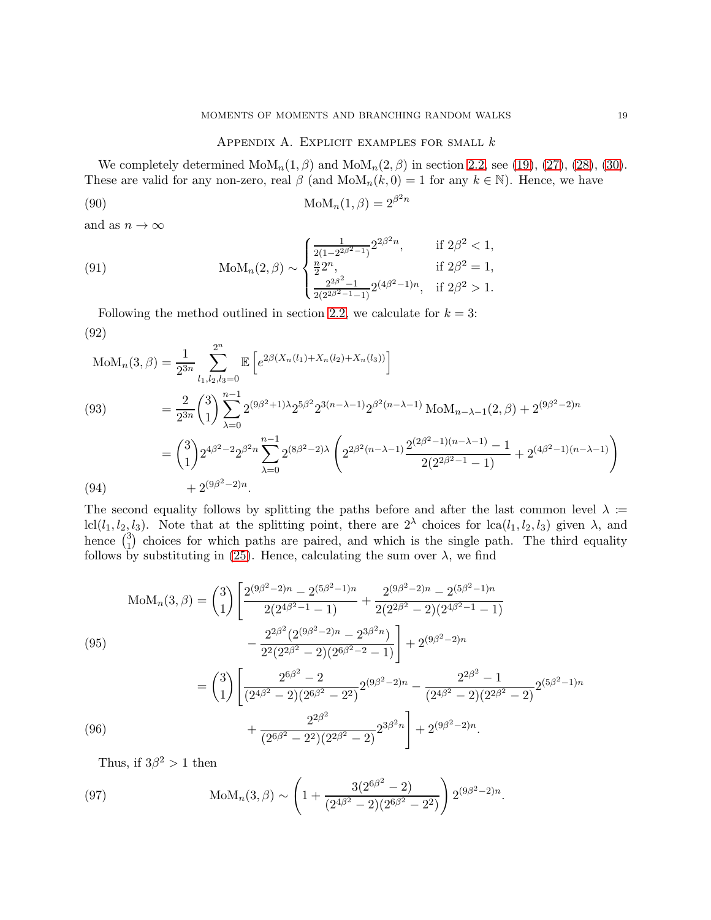# APPENDIX A. EXPLICIT EXAMPLES FOR SMALL  $k$

<span id="page-18-0"></span>We completely determined  $M_0(M_n(1, \beta)$  and  $M_0(M_n(2, \beta))$  in section [2.2,](#page-4-6) see [\(19\)](#page-5-5), [\(27\)](#page-6-2), [\(28\)](#page-6-3), [\(30\)](#page-6-4). These are valid for any non-zero, real  $\beta$  (and  $M_0(M_n(k, 0) = 1$  for any  $k \in \mathbb{N}$ ). Hence, we have

(90) MoMn(1, β) = 2<sup>β</sup> <sup>2</sup>n

and as  $n \to \infty$ 

(91) 
$$
\text{MoM}_n(2,\beta) \sim \begin{cases} \frac{1}{2(1-2^{2\beta^2-1})} 2^{2\beta^2 n}, & \text{if } 2\beta^2 < 1, \\ \frac{n}{2} 2^n, & \text{if } 2\beta^2 = 1, \\ \frac{2^{2\beta^2-1}}{2(2^{2\beta^2-1}-1)} 2^{(4\beta^2-1)n}, & \text{if } 2\beta^2 > 1. \end{cases}
$$

Following the method outlined in section [2.2,](#page-4-6) we calculate for  $k = 3$ : (92)

$$
\begin{split} \text{MoM}_{n}(3,\beta) &= \frac{1}{2^{3n}} \sum_{l_{1},l_{2},l_{3}=0}^{2^{n}} \mathbb{E}\left[e^{2\beta(X_{n}(l_{1})+X_{n}(l_{2})+X_{n}(l_{3}))}\right] \\ &= \frac{2}{2^{3n}} \binom{3}{1} \sum_{\lambda=0}^{n-1} 2^{(9\beta^{2}+1)\lambda} 2^{5\beta^{2}} 2^{3(n-\lambda-1)} 2^{\beta^{2}(n-\lambda-1)} \text{ MoM}_{n-\lambda-1}(2,\beta) + 2^{(9\beta^{2}-2)n} \\ &= \binom{3}{1} 2^{4\beta^{2}-2} 2^{\beta^{2}n} \sum_{\lambda=0}^{n-1} 2^{(8\beta^{2}-2)\lambda} \left(2^{2\beta^{2}(n-\lambda-1)} \frac{2^{(2\beta^{2}-1)(n-\lambda-1)}-1}{2(2^{2\beta^{2}-1}-1)} + 2^{(4\beta^{2}-1)(n-\lambda-1)}\right) \\ &+ 2^{(9\beta^{2}-2)n} .\end{split}
$$

<span id="page-18-1"></span>The second equality follows by splitting the paths before and after the last common level  $\lambda$  := lcl $(l_1, l_2, l_3)$ . Note that at the splitting point, there are  $2^{\lambda}$  choices for lca $(l_1, l_2, l_3)$  given  $\lambda$ , and hence  $\binom{3}{1}$  $\binom{3}{1}$  choices for which paths are paired, and which is the single path. The third equality follows by substituting in [\(25\)](#page-6-0). Hence, calculating the sum over  $\lambda$ , we find

$$
\text{MoM}_n(3,\beta) = {3 \choose 1} \left[ \frac{2^{(9\beta^2 - 2)n} - 2^{(5\beta^2 - 1)n}}{2(2^{4\beta^2 - 1} - 1)} + \frac{2^{(9\beta^2 - 2)n} - 2^{(5\beta^2 - 1)n}}{2(2^{2\beta^2} - 2)(2^{4\beta^2 - 1} - 1)} - \frac{2^{2\beta^2} (2^{(9\beta^2 - 2)n} - 2^{3\beta^2 n})}{2^2 (2^{2\beta^2} - 2)(2^{6\beta^2 - 2} - 1)} \right] + 2^{(9\beta^2 - 2)n}
$$
\n
$$
= {3 \choose 1} \left[ \frac{2^{6\beta^2} - 2}{(2^{4\beta^2} - 2)(2^{6\beta^2} - 2^2)} 2^{(9\beta^2 - 2)n} - \frac{2^{2\beta^2} - 1}{(2^{4\beta^2} - 2)(2^{2\beta^2} - 2)} 2^{(5\beta^2 - 1)n} \right]
$$
\n
$$
(96)
$$
\n
$$
+ \frac{2^{2\beta^2}}{(2^{6\beta^2} - 2^2)(2^{2\beta^2} - 2)} 2^{3\beta^2 n} \right] + 2^{(9\beta^2 - 2)n}.
$$

Thus, if  $3\beta^2 > 1$  then

(97) 
$$
\text{MoM}_n(3,\beta) \sim \left(1 + \frac{3(2^{6\beta^2} - 2)}{(2^{4\beta^2} - 2)(2^{6\beta^2} - 2^2)}\right) 2^{(9\beta^2 - 2)n}.
$$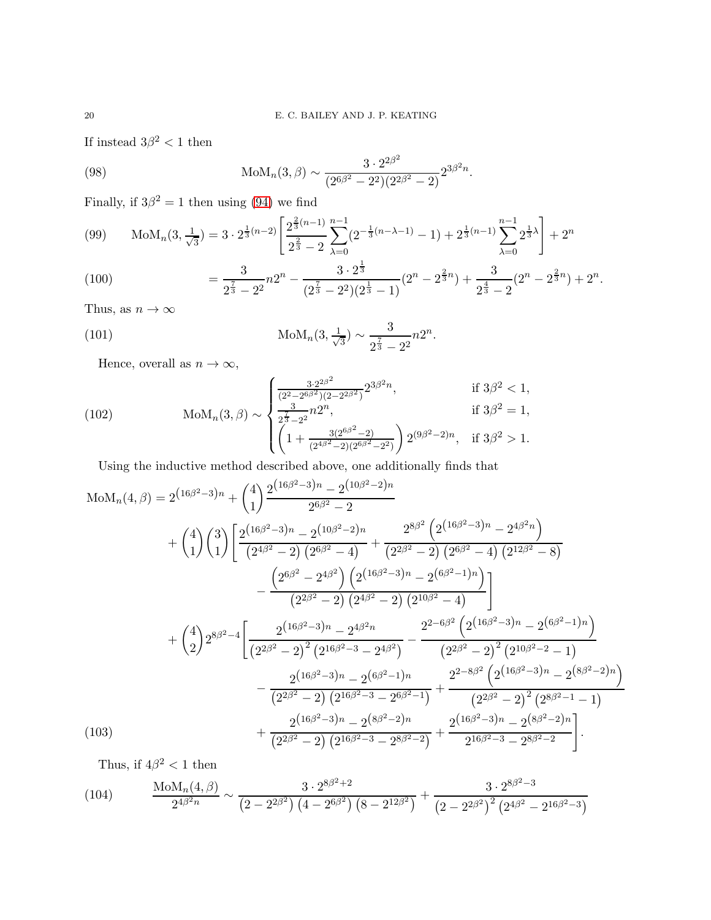If instead  $3\beta^2 < 1$  then

(98) 
$$
\text{MoM}_n(3,\beta) \sim \frac{3 \cdot 2^{2\beta^2}}{(2^{6\beta^2} - 2^2)(2^{2\beta^2} - 2)} 2^{3\beta^2 n}.
$$

Finally, if  $3\beta^2 = 1$  then using [\(94\)](#page-18-1) we find

(99) 
$$
\text{MoM}_n(3, \frac{1}{\sqrt{3}}) = 3 \cdot 2^{\frac{1}{3}(n-2)} \left[ \frac{2^{\frac{2}{3}(n-1)}}{2^{\frac{2}{3}} - 2} \sum_{\lambda=0}^{n-1} (2^{-\frac{1}{3}(n-\lambda-1)} - 1) + 2^{\frac{1}{3}(n-1)} \sum_{\lambda=0}^{n-1} 2^{\frac{1}{3}\lambda} \right] + 2^n
$$

(100) 
$$
= \frac{3}{2^{\frac{7}{3}} - 2^2} n 2^n - \frac{3 \cdot 2^{\frac{1}{3}}}{(2^{\frac{7}{3}} - 2^2)(2^{\frac{1}{3}} - 1)} (2^n - 2^{\frac{2}{3}n}) + \frac{3}{2^{\frac{4}{3}} - 2} (2^n - 2^{\frac{2}{3}n}) + 2^n.
$$

Thus, as  $n \to \infty$ 

(101) 
$$
\text{MoM}_n(3, \frac{1}{\sqrt{3}}) \sim \frac{3}{2^{\frac{7}{3}} - 2^2} n 2^n.
$$

Hence, overall as  $n \to \infty$ ,

(102) 
$$
\operatorname{MoM}_n(3,\beta) \sim \begin{cases} \frac{3 \cdot 2^{2\beta^2}}{(2^2 - 2^{6\beta^2})(2 - 2^{2\beta^2})} 2^{3\beta^2 n}, & \text{if } 3\beta^2 < 1, \\ \frac{3}{2^{\frac{7}{3}} - 2^2} n 2^n, & \text{if } 3\beta^2 = 1, \\ \left(1 + \frac{3(2^{6\beta^2} - 2)}{(2^{4\beta^2} - 2)(2^{6\beta^2} - 2^2)}\right) 2^{(9\beta^2 - 2)n}, & \text{if } 3\beta^2 > 1. \end{cases}
$$

Using the inductive method described above, one additionally finds that

$$
MoM_n(4, \beta) = 2^{(16\beta^2 - 3)n} + {4 \choose 1} \frac{2^{(16\beta^2 - 3)n} - 2^{(10\beta^2 - 2)n}}{2^{6\beta^2} - 2}
$$
  
+  ${4 \choose 1} {3 \choose 1} \left[ \frac{2^{(16\beta^2 - 3)n} - 2^{(10\beta^2 - 2)n}}{(2^{4\beta^2} - 2) (2^{6\beta^2} - 4)} + \frac{2^{8\beta^2} (2^{(16\beta^2 - 3)n} - 2^{4\beta^2 n})}{(2^{2\beta^2} - 2) (2^{6\beta^2} - 4) (2^{12\beta^2} - 8)} - \frac{{2^{6\beta^2 - 2^{4\beta^2}}} (2^{(16\beta^2 - 3)n} - 2^{(6\beta^2 - 1)n})}{(2^{2\beta^2} - 2) (2^{4\beta^2} - 2) (2^{10\beta^2} - 4)} \right] + {4 \choose 2} 2^{8\beta^2 - 4} \left[ \frac{2^{(16\beta^2 - 3)n} - 2^{4\beta^2 n}}{(2^{2\beta^2} - 2)^2 (2^{16\beta^2 - 3} - 2^{4\beta^2})} - \frac{2^{2 - 6\beta^2} (2^{(16\beta^2 - 3)n} - 2^{(6\beta^2 - 1)n})}{(2^{2\beta^2} - 2)^2 (2^{10\beta^2 - 2} - 1)} - \frac{2^{(16\beta^2 - 3)n} - 2^{(6\beta^2 - 1)n}}{(2^{2\beta^2} - 2) (2^{16\beta^2 - 3} - 2^{6\beta^2 - 1})} + \frac{2^{2 - 8\beta^2} (2^{(16\beta^2 - 3)n} - 2^{(8\beta^2 - 2)n})}{(2^{2\beta^2} - 2)^2 (2^{8\beta^2 - 1} - 1)} + \frac{2^{(16\beta^2 - 3)n} - 2^{(8\beta^2 - 2)n}}{(2^{2\beta^2} - 2) (2^{16\beta^2 - 3} - 2^{8\beta^2 - 2})} + \frac{2^{(16\beta^2 - 3)n} - 2^{(8\beta^2 - 2)n}}{2$ 

Thus, if  $4\beta^2 < 1$  then

(104) 
$$
\frac{\text{MoM}_n(4,\beta)}{2^{4\beta^2 n}} \sim \frac{3 \cdot 2^{8\beta^2 + 2}}{\left(2 - 2^{2\beta^2}\right) \left(4 - 2^{6\beta^2}\right) \left(8 - 2^{12\beta^2}\right)} + \frac{3 \cdot 2^{8\beta^2 - 3}}{\left(2 - 2^{2\beta^2}\right)^2 \left(2^{4\beta^2} - 2^{16\beta^2 - 3}\right)}
$$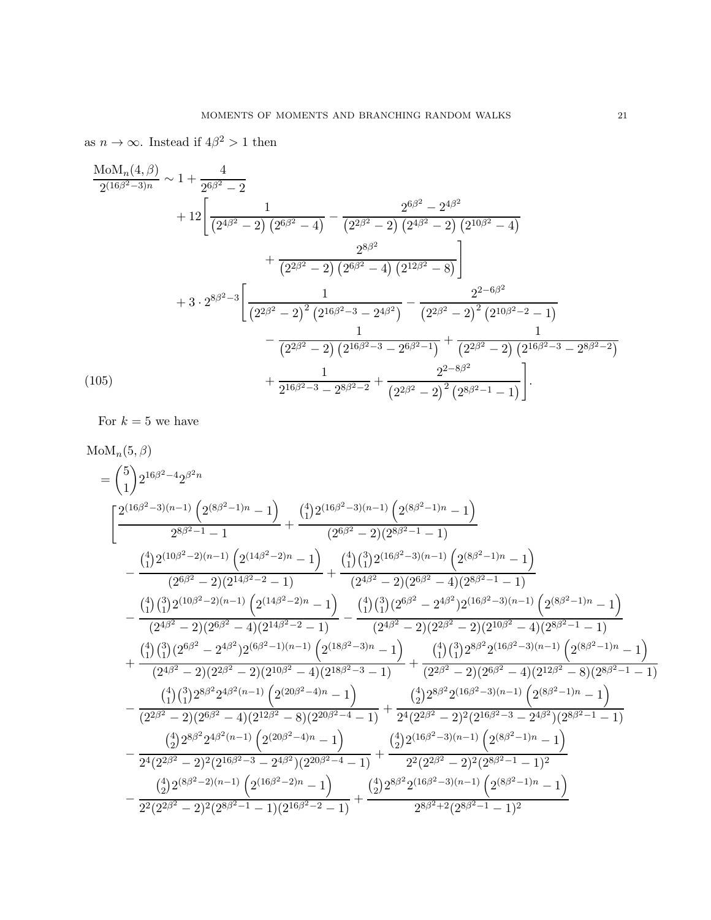as  $n \to \infty$ . Instead if  $4\beta^2 > 1$  then

$$
\frac{\text{MoM}_n(4,\beta)}{2^{(16\beta^2-3)n}} \sim 1 + \frac{4}{2^{6\beta^2-2}}
$$
\n
$$
+ 12 \left[ \frac{1}{(2^{4\beta^2-2}) (2^{6\beta^2-4})} - \frac{2^{6\beta^2-2^{4\beta^2}}}{(2^{2\beta^2-2}) (2^{4\beta^2-2}) (2^{10\beta^2-4})} + \frac{2^{8\beta^2}}{(2^{2\beta^2-2}) (2^{6\beta^2-4}) (2^{12\beta^2-8})} \right]
$$
\n
$$
+ 3 \cdot 2^{8\beta^2-3} \left[ \frac{1}{(2^{2\beta^2-2})^2 (2^{16\beta^2-3} - 2^{4\beta^2})} - \frac{2^{2-6\beta^2}}{(2^{2\beta^2-2})^2 (2^{10\beta^2-2} - 1)} - \frac{1}{(2^{2\beta^2-2}) (2^{16\beta^2-3} - 2^{6\beta^2-1})} + \frac{1}{(2^{2\beta^2-2}) (2^{16\beta^2-3} - 2^{8\beta^2-2})} + \frac{1}{2^{16\beta^2-3} - 2^{8\beta^2-2}} + \frac{2^{2-8\beta^2}}{(2^{2\beta^2-2})^2 (2^{8\beta^2-1} - 1)} \right].
$$
\n(105)

For  $k = 5$  we have

$$
\begin{split} &\text{MoM}_n(5,\beta)\\&=\binom{5}{1}2^{16\beta^2-4}2^{\beta^2n}\\&\frac{2^{(16\beta^2-3)(n-1)}\left(2^{(8\beta^2-1)n}-1\right)}{2^{8\beta^2-1}-1}+\frac{\binom{4}{1}2^{(16\beta^2-3)(n-1)}\left(2^{(8\beta^2-1)n}-1\right)}{(2^{6\beta^2}-2)(2^{8\beta^2-1}-1)}\\&-\frac{\binom{4}{1}2^{(10\beta^2-2)(n-1)}\left(2^{(14\beta^2-2)n}-1\right)}{(2^{6\beta^2}-2)(2^{14\beta^2-2}-1)}+\frac{\binom{4}{1}(\frac{3}{1})^{2(16\beta^2-3)(n-1)}\left(2^{(8\beta^2-1)n}-1\right)}{(2^{4\beta^2}-2)(2^{6\beta^2}-4)(2^{8\beta^2-1}-1)}\\&-\frac{\binom{4}{1}(\frac{3}{1})^{2(10\beta^2-2)(n-1)}\left(2^{(14\beta^2-2)n}-1\right)}{(2^{4\beta^2}-2)(2^{6\beta^2}-4)(2^{14\beta^2-2}-1)}-\frac{\binom{4}{1}(\frac{3}{1})(2^{6\beta^2-2^{4\beta^2})2^{(16\beta^2-3)(n-1)}}\left(2^{(8\beta^2-1)n}-1\right)}{(2^{4\beta^2}-2)(2^{16\beta^2}-2^{4\beta^2})2^{(216\beta^2-3)(n-1)}\left(2^{8\beta^2-1-n}-1\right)}\\&+\frac{\binom{4}{1}(\frac{3}{1})(2^{6\beta^2-2^{4\beta^2})2^{(6\beta^2-1)(n-1)}}{(2^{4\beta^2}-2)(2^{16\beta^2-3)}-1)}+\frac{\binom{4}{1}(\frac{3}{1})^{28\beta^2}2^{(16\beta^2-3)(n-1)}\left(2^{8\beta^2-1-n}-1\right)}{(2^{4\beta^2}-2)(2^{6\beta^2}-2)(2^{6\beta^2}-4)(2^{12\beta^2}-8)(2^{8\beta^2-1}-1)}\\&-\frac{\binom{4}{1}(\frac{3}{1})^{28\beta^2}2
$$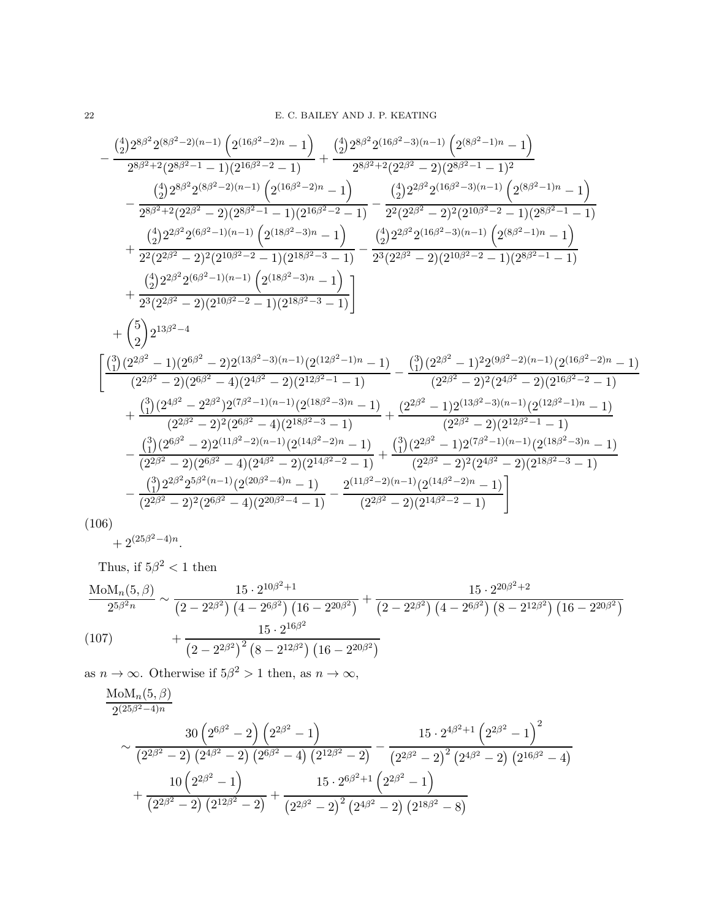$$
\frac{\text{MoM}_n(5,\beta)}{2^{(25\beta^2-4)n}}\n\sim\n\frac{30\left(2^{6\beta^2}-2\right)\left(2^{2\beta^2}-1\right)}{\left(2^{2\beta^2}-2\right)\left(2^{4\beta^2}-2\right)\left(2^{6\beta^2}-4\right)\left(2^{12\beta^2}-2\right)} - \frac{15\cdot 2^{4\beta^2+1}\left(2^{2\beta^2}-1\right)^2}{\left(2^{2\beta^2}-2\right)^2\left(2^{4\beta^2}-2\right)\left(2^{16\beta^2}-4\right)} + \frac{10\left(2^{2\beta^2}-1\right)}{\left(2^{2\beta^2}-2\right)\left(2^{12\beta^2}-2\right)} + \frac{15\cdot 2^{6\beta^2+1}\left(2^{2\beta^2}-1\right)}{\left(2^{2\beta^2}-2\right)\left(2^{18\beta^2}-8\right)}
$$

as  $n \to \infty$ . Otherwise if  $5\beta^2 > 1$  then, as  $n \to \infty$ ,

$$
\frac{\text{MoM}_n(5,\beta)}{2^{5\beta^2 n}} \sim \frac{15 \cdot 2^{10\beta^2 + 1}}{(2 - 2^{2\beta^2}) \left(4 - 2^{6\beta^2}\right) \left(16 - 2^{20\beta^2}\right)} + \frac{15 \cdot 2^{20\beta^2 + 2}}{\left(2 - 2^{2\beta^2}\right) \left(4 - 2^{6\beta^2}\right) \left(8 - 2^{12\beta^2}\right) \left(16 - 2^{20\beta^2}\right)} + \frac{15 \cdot 2^{16\beta^2}}{\left(2 - 2^{2\beta^2}\right)^2 \left(8 - 2^{12\beta^2}\right) \left(16 - 2^{20\beta^2}\right)}
$$
\n(107)

Thus, if 
$$
5\beta^2 < 1
$$
 then

$$
+2^{(25\beta^2-4)n}.
$$

$$
-\frac{\binom{4}{2}2^{8\beta^2}2^{(8\beta^2-2)(n-1)}\left(2^{(16\beta^2-2)n}-1\right)}{2^{8\beta^2+2}(2^{8\beta^2-1}-1)(2^{16\beta^2-2}-1)}+\frac{\binom{4}{2}2^{8\beta^2}2^{(16\beta^2-3)(n-1)}\left(2^{(8\beta^2-1)n}-1\right)}{2^{8\beta^2+2}(2^{2\beta^2}-2)(2^{8\beta^2-1}-1)^2} \\-\frac{\binom{4}{2}2^{8\beta^2}2^{(8\beta^2-2)(n-1)}\left(2^{(16\beta^2-2)n}-1\right)}{2^{8\beta^2+2}(2^{2\beta^2}-2)(2^{8\beta^2-1}-1)(2^{16\beta^2-2}-1)}-\frac{\binom{4}{2}2^{2\beta^2}2^{(16\beta^2-3)(n-1)}\left(2^{(8\beta^2-1)n}-1\right)}{2^2(2^{2\beta^2}-2)^2(2^{10\beta^2-2}-1)(2^{8\beta^2-1}-1)} \\+\frac{\binom{4}{2}2^{2\beta^2}2^{(6\beta^2-1)(n-1)}\left(2^{(18\beta^2-3)n}-1\right)}{2^2(2^{2\beta^2}-2)^2(2^{10\beta^2-2}-1)(2^{8\beta^2-1}-1)}-\frac{\binom{4}{2}2^{2\beta^2}2^{(16\beta^2-3)(n-1)}\left(2^{8\beta^2-1)n}-1\right)}{2^3(2^{2\beta^2}-2)(2^{10\beta^2-2}-1)(2^{8\beta^2-1}-1)} \\+\frac{\binom{4}{2}2^{2\beta^2}2^{(6\beta^2-1)(n-1)}\left(2^{(18\beta^2-3)n}-1\right)}{2^3(2^{2\beta^2}-2)^2(2^{10\beta^2-2}-1)(2^{8\beta^2-1}-1)} \\+\frac{\binom{5}{2}2^{13\beta^2-4}}{2^3(2^{2\beta^2}-2)(2^{10\beta^2-2}-1)(2^{18\beta^2-3}-1)}-\frac{\binom{3}{1}(2^{2\beta^2}-1)^2(2^{9\beta^2-2)(n-1)}(2^{1
$$

22 E. C. BAILEY AND J. P. KEATING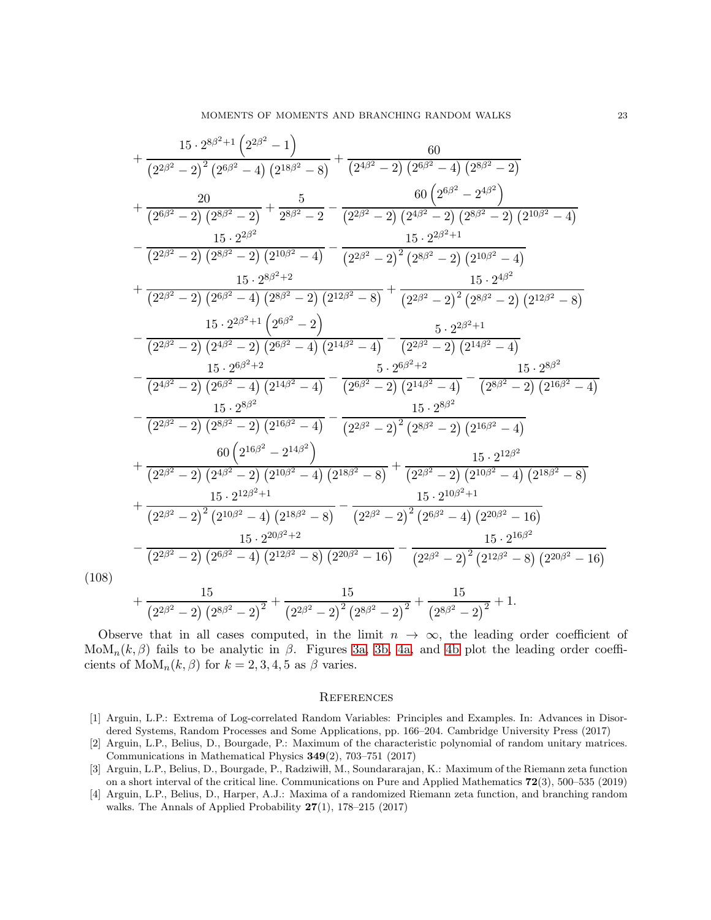$$
+\frac{15\cdot2^{8\beta^2+1}\left(2^{2\beta^2}-1\right)}{\left(2^{2\beta^2}-2\right)^2\left(2^{6\beta^2}-4\right)\left(2^{18\beta^2}-8\right)}+\frac{60}{\left(2^{4\beta^2}-2\right)\left(2^{6\beta^2}-4\right)\left(2^{8\beta^2}-2\right)}{\left(2^{6\beta^2}-2\right)\left(2^{8\beta^2}-2\right)\left(2^{8\beta^2}-2\right)}+\frac{5}{\left(2^{2\beta^2}-2\right)\left(2^{4\beta^2}-2\right)\left(2^{4\beta^2}-2\right)\left(2^{8\beta^2}-2\right)\left(2^{10\beta^2}-4\right)}-\frac{15\cdot2^{2\beta^2}}{\left(2^{2\beta^2}-2\right)\left(2^{8\beta^2}-2\right)\left(2^{10\beta^2}-4\right)}-\frac{15\cdot2^{2\beta^2}}{\left(2^{2\beta^2}-2\right)\left(2^{8\beta^2}-2\right)\left(2^{10\beta^2}-4\right)}-\frac{15\cdot2^{2\beta^2+1}}{\left(2^{2\beta^2}-2\right)\left(2^{8\beta^2}-2\right)\left(2^{10\beta^2}-4\right)}-\frac{15\cdot2^{2\beta^2+1}}{\left(2^{2\beta^2}-2\right)\left(2^{8\beta^2}-2\right)\left(2^{12\beta^2}-8\right)}+\frac{15\cdot2^{4\beta^2}}{\left(2^{2\beta^2}-2\right)\left(2^{4\beta^2}-2\right)\left(2^{4\beta^2}-2\right)\left(2^{12\beta^2}-8\right)}-\frac{5\cdot2^{2\beta^2+1}}{\left(2^{2\beta^2}-2\right)\left(2^{4\beta^2}-2\right)\left(2^{4\beta^2}-2\right)\left(2^{4\beta^2}-4\right)}-\frac{5\cdot2^{2\beta^2+1}}{\left(2^{2\beta^2}-2\right)\left(2^{14\beta^2}-4\right)}-\frac{5\cdot2^{2\beta^2+1}}{\left(2^{2\beta^2}-2\right)\left(2^{14\beta^2}-4\right)}-\frac{5\cdot2^{2\beta^2+1}}{\left(2^{2\beta^2}-2\right)\left(2^{
$$

(108)

$$
+\frac{15}{\left(2^{2\beta^2}-2\right) \left(2^{8\beta^2}-2\right)^2}+\frac{15}{\left(2^{2\beta^2}-2\right)^2 \left(2^{8\beta^2}-2\right)^2}+\frac{15}{\left(2^{8\beta^2}-2\right)^2}+1.
$$

Observe that in all cases computed, in the limit  $n \to \infty$ , the leading order coefficient of Mo $M_n(k, \beta)$  fails to be analytic in  $\beta$ . Figures [3a,](#page-23-11) [3b,](#page-23-12) [4a,](#page-24-10) and [4b](#page-24-11) plot the leading order coefficients of  $\text{MoM}_n(k, \beta)$  for  $k = 2, 3, 4, 5$  as  $\beta$  varies.

## **REFERENCES**

- <span id="page-22-0"></span>[1] Arguin, L.P.: Extrema of Log-correlated Random Variables: Principles and Examples. In: Advances in Disordered Systems, Random Processes and Some Applications, pp. 166–204. Cambridge University Press (2017)
- <span id="page-22-1"></span>[2] Arguin, L.P., Belius, D., Bourgade, P.: Maximum of the characteristic polynomial of random unitary matrices. Communications in Mathematical Physics 349(2), 703–751 (2017)
- [3] Arguin, L.P., Belius, D., Bourgade, P., Radziwiłł, M., Soundararajan, K.: Maximum of the Riemann zeta function on a short interval of the critical line. Communications on Pure and Applied Mathematics 72(3), 500–535 (2019)
- [4] Arguin, L.P., Belius, D., Harper, A.J.: Maxima of a randomized Riemann zeta function, and branching random walks. The Annals of Applied Probability  $27(1)$ , 178-215 (2017)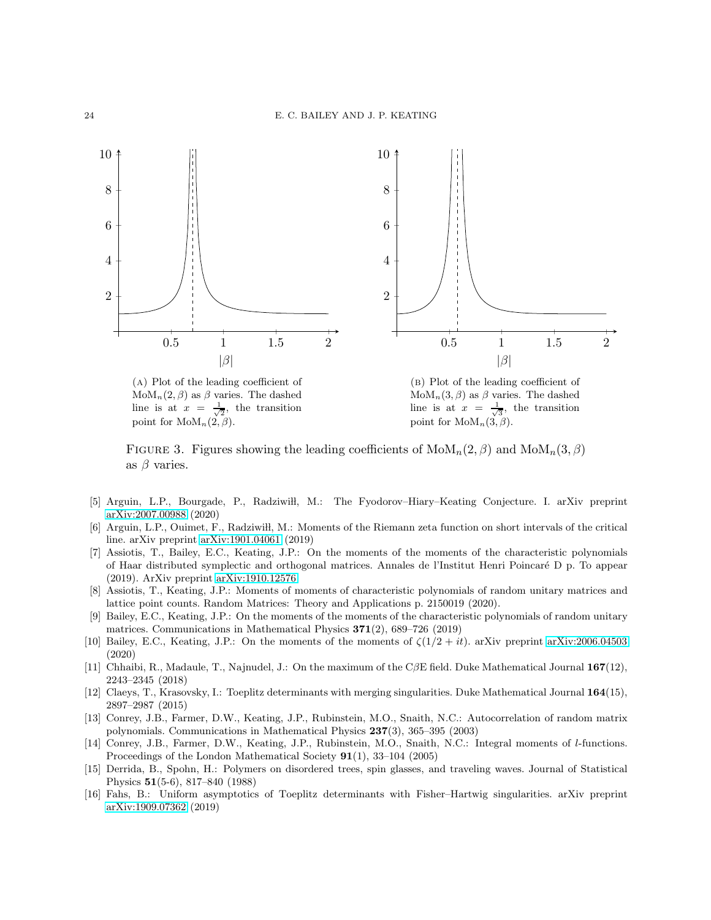<span id="page-23-11"></span>

 $M_0(M_n(2, \beta))$  as  $\beta$  varies. The dashed line is at  $x = \frac{1}{\sqrt{2}}$ , the transition point for  $\text{MoM}_n(2,\beta)$ .

<span id="page-23-12"></span> $M \circ M_n(3, \beta)$  as  $\beta$  varies. The dashed line is at  $x = \frac{1}{\sqrt{3}}$ , the transition point for  $\text{MoM}_n(3, \beta)$ .

FIGURE 3. Figures showing the leading coefficients of  $M_0(M_n(2, \beta))$  and  $M_0(M_n(3, \beta))$ as  $\beta$  varies.

- [5] Arguin, L.P., Bourgade, P., Radziwiłł, M.: The Fyodorov–Hiary–Keating Conjecture. I. arXiv preprint [arXiv:2007.00988](http://arxiv.org/abs/2007.00988) (2020)
- <span id="page-23-0"></span>[6] Arguin, L.P., Ouimet, F., Radziwiłł, M.: Moments of the Riemann zeta function on short intervals of the critical line. arXiv preprint [arXiv:1901.04061](http://arxiv.org/abs/1901.04061) (2019)
- <span id="page-23-8"></span>[7] Assiotis, T., Bailey, E.C., Keating, J.P.: On the moments of the moments of the characteristic polynomials of Haar distributed symplectic and orthogonal matrices. Annales de l'Institut Henri Poincar´e D p. To appear (2019). ArXiv preprint [arXiv:1910.12576](http://arxiv.org/abs/1910.12576)
- <span id="page-23-9"></span>[8] Assiotis, T., Keating, J.P.: Moments of moments of characteristic polynomials of random unitary matrices and lattice point counts. Random Matrices: Theory and Applications p. 2150019 (2020).
- <span id="page-23-2"></span>[9] Bailey, E.C., Keating, J.P.: On the moments of the moments of the characteristic polynomials of random unitary matrices. Communications in Mathematical Physics 371(2), 689–726 (2019)
- <span id="page-23-7"></span>[10] Bailey, E.C., Keating, J.P.: On the moments of the moments of  $\zeta(1/2 + it)$ . arXiv preprint [arXiv:2006.04503](http://arxiv.org/abs/2006.04503) (2020)
- <span id="page-23-1"></span>[11] Chhaibi, R., Madaule, T., Najnudel, J.: On the maximum of the CβE field. Duke Mathematical Journal 167(12), 2243–2345 (2018)
- <span id="page-23-3"></span>[12] Claeys, T., Krasovsky, I.: Toeplitz determinants with merging singularities. Duke Mathematical Journal 164(15), 2897–2987 (2015)
- <span id="page-23-5"></span>[13] Conrey, J.B., Farmer, D.W., Keating, J.P., Rubinstein, M.O., Snaith, N.C.: Autocorrelation of random matrix polynomials. Communications in Mathematical Physics 237(3), 365–395 (2003)
- <span id="page-23-6"></span>[14] Conrey, J.B., Farmer, D.W., Keating, J.P., Rubinstein, M.O., Snaith, N.C.: Integral moments of l-functions. Proceedings of the London Mathematical Society 91(1), 33–104 (2005)
- <span id="page-23-10"></span>[15] Derrida, B., Spohn, H.: Polymers on disordered trees, spin glasses, and traveling waves. Journal of Statistical Physics 51(5-6), 817–840 (1988)
- <span id="page-23-4"></span>[16] Fahs, B.: Uniform asymptotics of Toeplitz determinants with Fisher–Hartwig singularities. arXiv preprint [arXiv:1909.07362](http://arxiv.org/abs/1909.07362) (2019)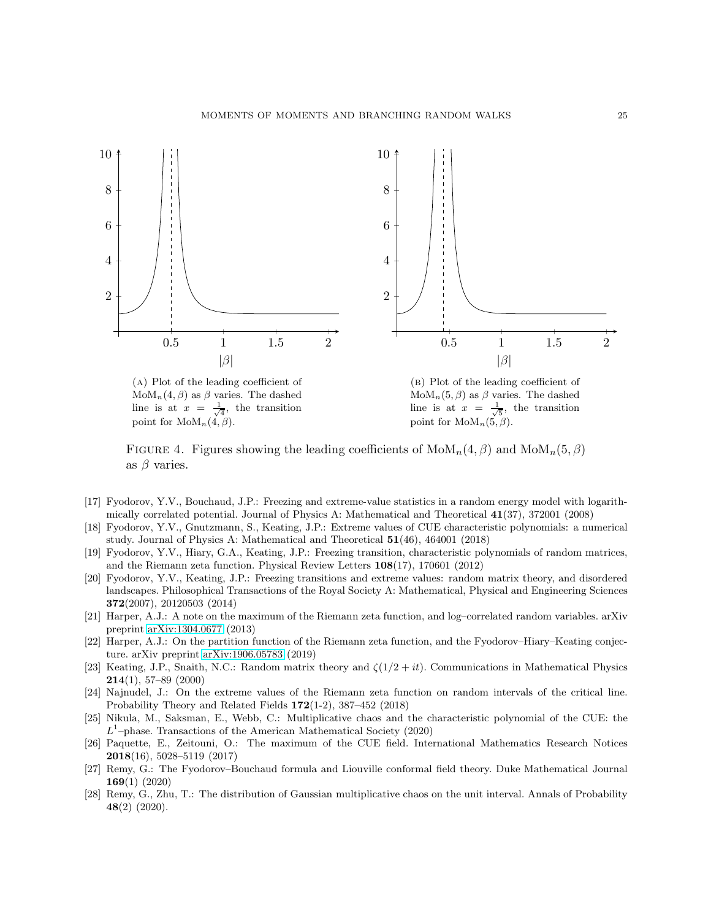<span id="page-24-10"></span>

 $M_0(M_n(4, \beta)$  as  $\beta$  varies. The dashed line is at  $x = \frac{1}{\sqrt{4}}$ , the transition point for  $\text{MoM}_n(\check{4}, \check{\beta})$ .

<span id="page-24-11"></span> $M \circ M_n(5, \beta)$  as  $\beta$  varies. The dashed line is at  $x = \frac{1}{\sqrt{5}}$ , the transition point for  $\text{MoM}_n(5, \beta)$ .

FIGURE 4. Figures showing the leading coefficients of  $M_0(M_n(4, \beta))$  and  $M_0(M_n(5, \beta))$ as  $\beta$  varies.

- <span id="page-24-0"></span>[17] Fyodorov, Y.V., Bouchaud, J.P.: Freezing and extreme-value statistics in a random energy model with logarithmically correlated potential. Journal of Physics A: Mathematical and Theoretical 41(37), 372001 (2008)
- [18] Fyodorov, Y.V., Gnutzmann, S., Keating, J.P.: Extreme values of CUE characteristic polynomials: a numerical study. Journal of Physics A: Mathematical and Theoretical 51(46), 464001 (2018)
- <span id="page-24-4"></span>[19] Fyodorov, Y.V., Hiary, G.A., Keating, J.P.: Freezing transition, characteristic polynomials of random matrices, and the Riemann zeta function. Physical Review Letters 108(17), 170601 (2012)
- <span id="page-24-5"></span>[20] Fyodorov, Y.V., Keating, J.P.: Freezing transitions and extreme values: random matrix theory, and disordered landscapes. Philosophical Transactions of the Royal Society A: Mathematical, Physical and Engineering Sciences 372(2007), 20120503 (2014)
- <span id="page-24-8"></span>[21] Harper, A.J.: A note on the maximum of the Riemann zeta function, and log–correlated random variables. arXiv preprint [arXiv:1304.0677](http://arxiv.org/abs/1304.0677) (2013)
- <span id="page-24-1"></span>[22] Harper, A.J.: On the partition function of the Riemann zeta function, and the Fyodorov–Hiary–Keating conjecture. arXiv preprint [arXiv:1906.05783](http://arxiv.org/abs/1906.05783) (2019)
- <span id="page-24-7"></span>[23] Keating, J.P., Snaith, N.C.: Random matrix theory and  $\zeta(1/2 + it)$ . Communications in Mathematical Physics  $214(1), 57-89 (2000)$
- <span id="page-24-2"></span>[24] Najnudel, J.: On the extreme values of the Riemann zeta function on random intervals of the critical line. Probability Theory and Related Fields 172(1-2), 387–452 (2018)
- [25] Nikula, M., Saksman, E., Webb, C.: Multiplicative chaos and the characteristic polynomial of the CUE: the  $L^1$ -phase. Transactions of the American Mathematical Society (2020)
- <span id="page-24-6"></span>[26] Paquette, E., Zeitouni, O.: The maximum of the CUE field. International Mathematics Research Notices 2018(16), 5028–5119 (2017)
- <span id="page-24-3"></span>[27] Remy, G.: The Fyodorov–Bouchaud formula and Liouville conformal field theory. Duke Mathematical Journal 169(1) (2020)
- <span id="page-24-9"></span>[28] Remy, G., Zhu, T.: The distribution of Gaussian multiplicative chaos on the unit interval. Annals of Probability 48(2) (2020).